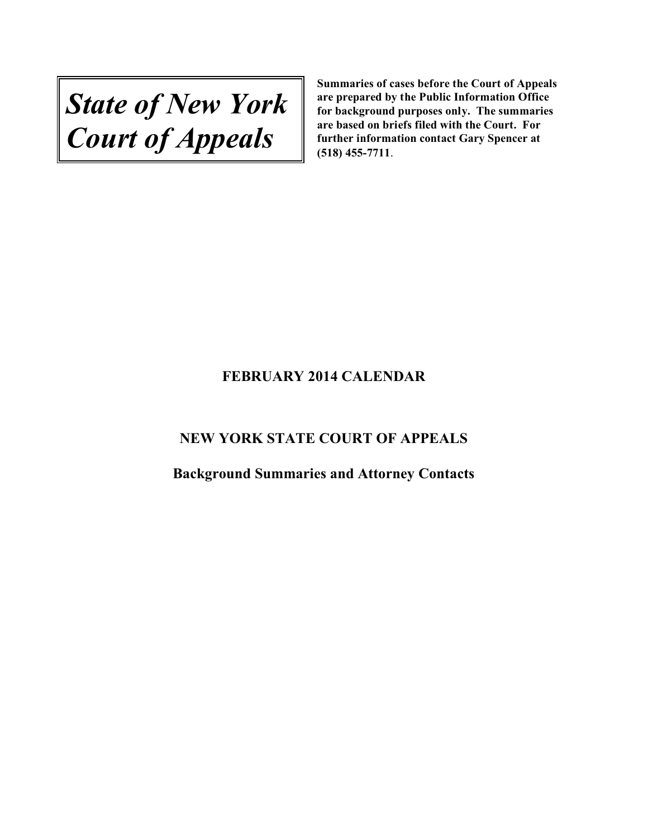*State of New York Court of Appeals*

# **FEBRUARY 2014 CALENDAR**

# **NEW YORK STATE COURT OF APPEALS**

**Background Summaries and Attorney Contacts**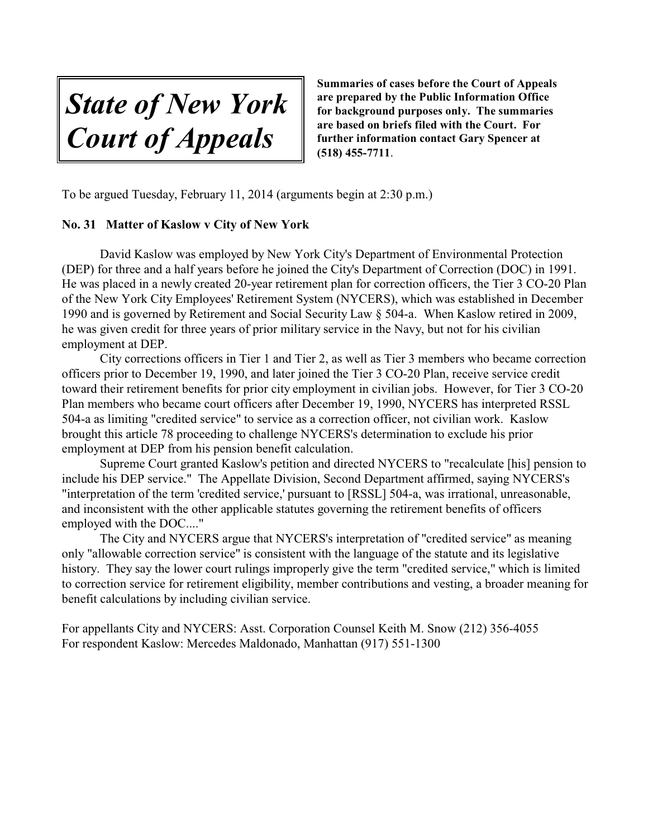*State of New York Court of Appeals*

To be argued Tuesday, February 11, 2014 (arguments begin at 2:30 p.m.)

# **No. 31 Matter of Kaslow v City of New York**

David Kaslow was employed by New York City's Department of Environmental Protection (DEP) for three and a half years before he joined the City's Department of Correction (DOC) in 1991. He was placed in a newly created 20-year retirement plan for correction officers, the Tier 3 CO-20 Plan of the New York City Employees' Retirement System (NYCERS), which was established in December 1990 and is governed by Retirement and Social Security Law § 504-a. When Kaslow retired in 2009, he was given credit for three years of prior military service in the Navy, but not for his civilian employment at DEP.

City corrections officers in Tier 1 and Tier 2, as well as Tier 3 members who became correction officers prior to December 19, 1990, and later joined the Tier 3 CO-20 Plan, receive service credit toward their retirement benefits for prior city employment in civilian jobs. However, for Tier 3 CO-20 Plan members who became court officers after December 19, 1990, NYCERS has interpreted RSSL 504-a as limiting "credited service" to service as a correction officer, not civilian work. Kaslow brought this article 78 proceeding to challenge NYCERS's determination to exclude his prior employment at DEP from his pension benefit calculation.

Supreme Court granted Kaslow's petition and directed NYCERS to "recalculate [his] pension to include his DEP service." The Appellate Division, Second Department affirmed, saying NYCERS's "interpretation of the term 'credited service,' pursuant to [RSSL] 504-a, was irrational, unreasonable, and inconsistent with the other applicable statutes governing the retirement benefits of officers employed with the DOC...."

The City and NYCERS argue that NYCERS's interpretation of "credited service" as meaning only "allowable correction service" is consistent with the language of the statute and its legislative history. They say the lower court rulings improperly give the term "credited service," which is limited to correction service for retirement eligibility, member contributions and vesting, a broader meaning for benefit calculations by including civilian service.

For appellants City and NYCERS: Asst. Corporation Counsel Keith M. Snow (212) 356-4055 For respondent Kaslow: Mercedes Maldonado, Manhattan (917) 551-1300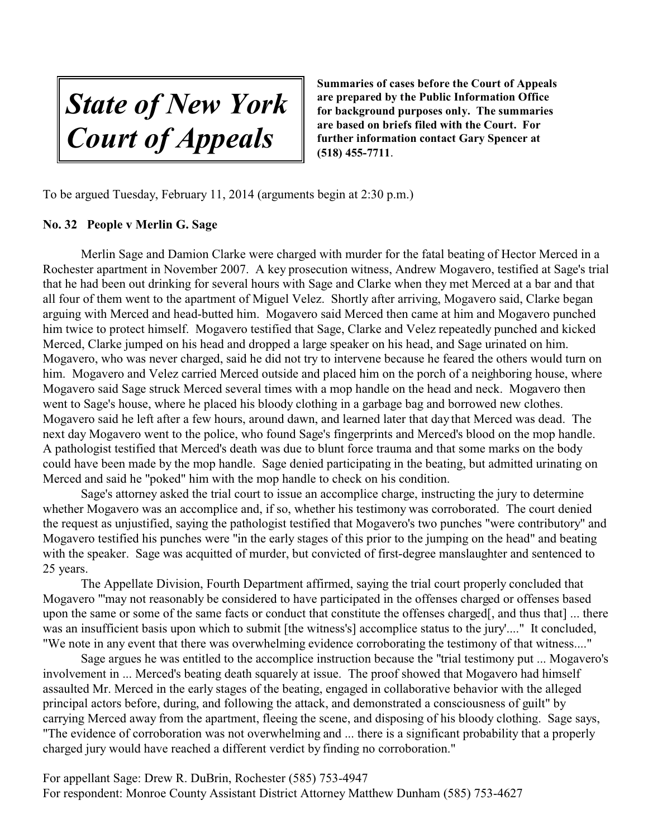*State of New York Court of Appeals*

To be argued Tuesday, February 11, 2014 (arguments begin at 2:30 p.m.)

# **No. 32 People v Merlin G. Sage**

Merlin Sage and Damion Clarke were charged with murder for the fatal beating of Hector Merced in a Rochester apartment in November 2007. A key prosecution witness, Andrew Mogavero, testified at Sage's trial that he had been out drinking for several hours with Sage and Clarke when they met Merced at a bar and that all four of them went to the apartment of Miguel Velez. Shortly after arriving, Mogavero said, Clarke began arguing with Merced and head-butted him. Mogavero said Merced then came at him and Mogavero punched him twice to protect himself. Mogavero testified that Sage, Clarke and Velez repeatedly punched and kicked Merced, Clarke jumped on his head and dropped a large speaker on his head, and Sage urinated on him. Mogavero, who was never charged, said he did not try to intervene because he feared the others would turn on him. Mogavero and Velez carried Merced outside and placed him on the porch of a neighboring house, where Mogavero said Sage struck Merced several times with a mop handle on the head and neck. Mogavero then went to Sage's house, where he placed his bloody clothing in a garbage bag and borrowed new clothes. Mogavero said he left after a few hours, around dawn, and learned later that day that Merced was dead. The next day Mogavero went to the police, who found Sage's fingerprints and Merced's blood on the mop handle. A pathologist testified that Merced's death was due to blunt force trauma and that some marks on the body could have been made by the mop handle. Sage denied participating in the beating, but admitted urinating on Merced and said he "poked" him with the mop handle to check on his condition.

Sage's attorney asked the trial court to issue an accomplice charge, instructing the jury to determine whether Mogavero was an accomplice and, if so, whether his testimony was corroborated. The court denied the request as unjustified, saying the pathologist testified that Mogavero's two punches "were contributory" and Mogavero testified his punches were "in the early stages of this prior to the jumping on the head" and beating with the speaker. Sage was acquitted of murder, but convicted of first-degree manslaughter and sentenced to 25 years.

The Appellate Division, Fourth Department affirmed, saying the trial court properly concluded that Mogavero "'may not reasonably be considered to have participated in the offenses charged or offenses based upon the same or some of the same facts or conduct that constitute the offenses charged[, and thus that] ... there was an insufficient basis upon which to submit [the witness's] accomplice status to the jury'...." It concluded, "We note in any event that there was overwhelming evidence corroborating the testimony of that witness...."

Sage argues he was entitled to the accomplice instruction because the "trial testimony put ... Mogavero's involvement in ... Merced's beating death squarely at issue. The proof showed that Mogavero had himself assaulted Mr. Merced in the early stages of the beating, engaged in collaborative behavior with the alleged principal actors before, during, and following the attack, and demonstrated a consciousness of guilt" by carrying Merced away from the apartment, fleeing the scene, and disposing of his bloody clothing. Sage says, "The evidence of corroboration was not overwhelming and ... there is a significant probability that a properly charged jury would have reached a different verdict by finding no corroboration."

For appellant Sage: Drew R. DuBrin, Rochester (585) 753-4947 For respondent: Monroe County Assistant District Attorney Matthew Dunham (585) 753-4627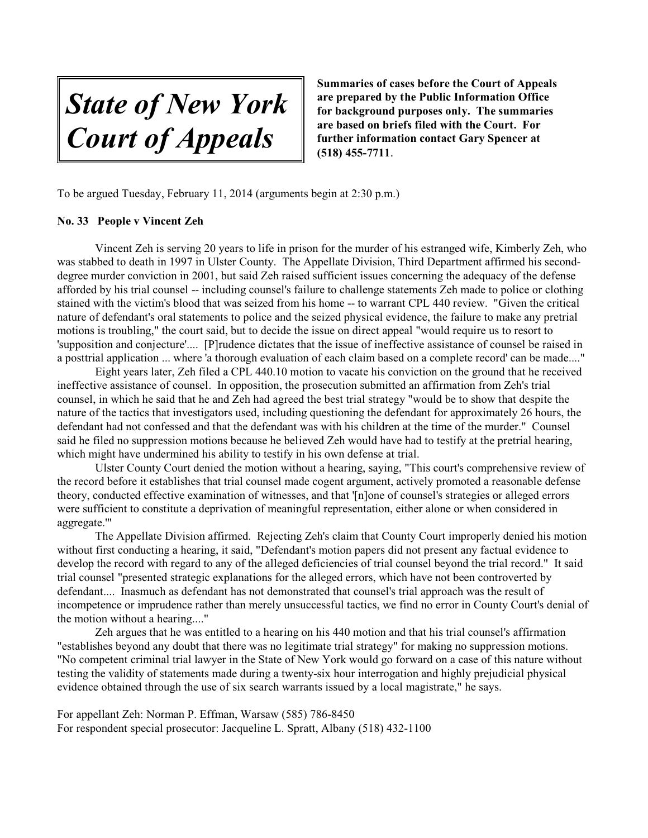*State of New York Court of Appeals*

To be argued Tuesday, February 11, 2014 (arguments begin at 2:30 p.m.)

#### **No. 33 People v Vincent Zeh**

Vincent Zeh is serving 20 years to life in prison for the murder of his estranged wife, Kimberly Zeh, who was stabbed to death in 1997 in Ulster County. The Appellate Division, Third Department affirmed his seconddegree murder conviction in 2001, but said Zeh raised sufficient issues concerning the adequacy of the defense afforded by his trial counsel -- including counsel's failure to challenge statements Zeh made to police or clothing stained with the victim's blood that was seized from his home -- to warrant CPL 440 review. "Given the critical nature of defendant's oral statements to police and the seized physical evidence, the failure to make any pretrial motions is troubling," the court said, but to decide the issue on direct appeal "would require us to resort to 'supposition and conjecture'.... [P]rudence dictates that the issue of ineffective assistance of counsel be raised in a posttrial application ... where 'a thorough evaluation of each claim based on a complete record' can be made...."

Eight years later, Zeh filed a CPL 440.10 motion to vacate his conviction on the ground that he received ineffective assistance of counsel. In opposition, the prosecution submitted an affirmation from Zeh's trial counsel, in which he said that he and Zeh had agreed the best trial strategy "would be to show that despite the nature of the tactics that investigators used, including questioning the defendant for approximately 26 hours, the defendant had not confessed and that the defendant was with his children at the time of the murder." Counsel said he filed no suppression motions because he believed Zeh would have had to testify at the pretrial hearing, which might have undermined his ability to testify in his own defense at trial.

Ulster County Court denied the motion without a hearing, saying, "This court's comprehensive review of the record before it establishes that trial counsel made cogent argument, actively promoted a reasonable defense theory, conducted effective examination of witnesses, and that '[n]one of counsel's strategies or alleged errors were sufficient to constitute a deprivation of meaningful representation, either alone or when considered in aggregate.'"

The Appellate Division affirmed. Rejecting Zeh's claim that County Court improperly denied his motion without first conducting a hearing, it said, "Defendant's motion papers did not present any factual evidence to develop the record with regard to any of the alleged deficiencies of trial counsel beyond the trial record." It said trial counsel "presented strategic explanations for the alleged errors, which have not been controverted by defendant.... Inasmuch as defendant has not demonstrated that counsel's trial approach was the result of incompetence or imprudence rather than merely unsuccessful tactics, we find no error in County Court's denial of the motion without a hearing...."

Zeh argues that he was entitled to a hearing on his 440 motion and that his trial counsel's affirmation "establishes beyond any doubt that there was no legitimate trial strategy" for making no suppression motions. "No competent criminal trial lawyer in the State of New York would go forward on a case of this nature without testing the validity of statements made during a twenty-six hour interrogation and highly prejudicial physical evidence obtained through the use of six search warrants issued by a local magistrate," he says.

For appellant Zeh: Norman P. Effman, Warsaw (585) 786-8450 For respondent special prosecutor: Jacqueline L. Spratt, Albany (518) 432-1100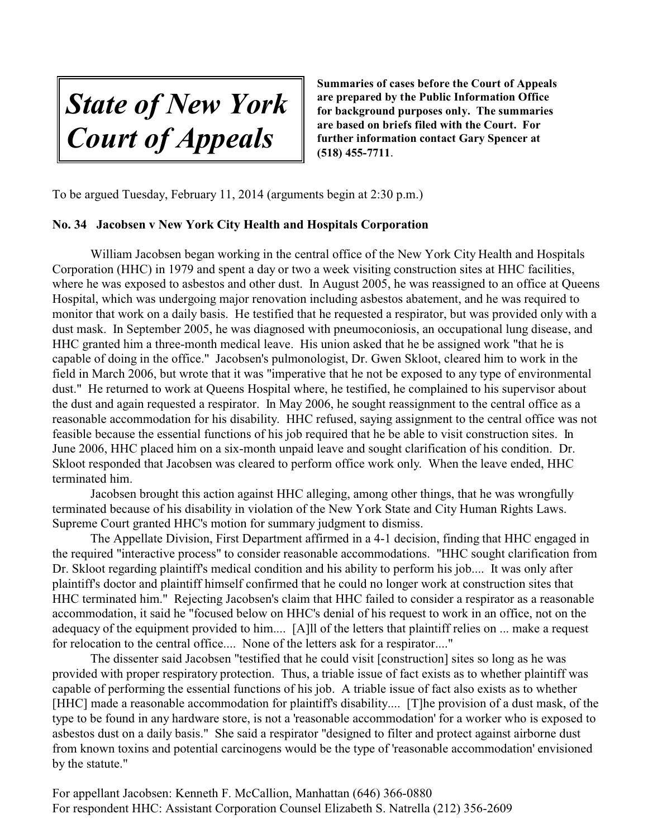*State of New York Court of Appeals*

To be argued Tuesday, February 11, 2014 (arguments begin at 2:30 p.m.)

#### **No. 34 Jacobsen v New York City Health and Hospitals Corporation**

William Jacobsen began working in the central office of the New York City Health and Hospitals Corporation (HHC) in 1979 and spent a day or two a week visiting construction sites at HHC facilities, where he was exposed to asbestos and other dust. In August 2005, he was reassigned to an office at Queens Hospital, which was undergoing major renovation including asbestos abatement, and he was required to monitor that work on a daily basis. He testified that he requested a respirator, but was provided only with a dust mask. In September 2005, he was diagnosed with pneumoconiosis, an occupational lung disease, and HHC granted him a three-month medical leave. His union asked that he be assigned work "that he is capable of doing in the office." Jacobsen's pulmonologist, Dr. Gwen Skloot, cleared him to work in the field in March 2006, but wrote that it was "imperative that he not be exposed to any type of environmental dust." He returned to work at Queens Hospital where, he testified, he complained to his supervisor about the dust and again requested a respirator. In May 2006, he sought reassignment to the central office as a reasonable accommodation for his disability. HHC refused, saying assignment to the central office was not feasible because the essential functions of his job required that he be able to visit construction sites. In June 2006, HHC placed him on a six-month unpaid leave and sought clarification of his condition. Dr. Skloot responded that Jacobsen was cleared to perform office work only. When the leave ended, HHC terminated him.

Jacobsen brought this action against HHC alleging, among other things, that he was wrongfully terminated because of his disability in violation of the New York State and City Human Rights Laws. Supreme Court granted HHC's motion for summary judgment to dismiss.

The Appellate Division, First Department affirmed in a 4-1 decision, finding that HHC engaged in the required "interactive process" to consider reasonable accommodations. "HHC sought clarification from Dr. Skloot regarding plaintiff's medical condition and his ability to perform his job.... It was only after plaintiff's doctor and plaintiff himself confirmed that he could no longer work at construction sites that HHC terminated him." Rejecting Jacobsen's claim that HHC failed to consider a respirator as a reasonable accommodation, it said he "focused below on HHC's denial of his request to work in an office, not on the adequacy of the equipment provided to him.... [A]ll of the letters that plaintiff relies on ... make a request for relocation to the central office.... None of the letters ask for a respirator...."

The dissenter said Jacobsen "testified that he could visit [construction] sites so long as he was provided with proper respiratory protection. Thus, a triable issue of fact exists as to whether plaintiff was capable of performing the essential functions of his job. A triable issue of fact also exists as to whether [HHC] made a reasonable accommodation for plaintiff's disability.... [T]he provision of a dust mask, of the type to be found in any hardware store, is not a 'reasonable accommodation' for a worker who is exposed to asbestos dust on a daily basis." She said a respirator "designed to filter and protect against airborne dust from known toxins and potential carcinogens would be the type of 'reasonable accommodation' envisioned by the statute."

For appellant Jacobsen: Kenneth F. McCallion, Manhattan (646) 366-0880 For respondent HHC: Assistant Corporation Counsel Elizabeth S. Natrella (212) 356-2609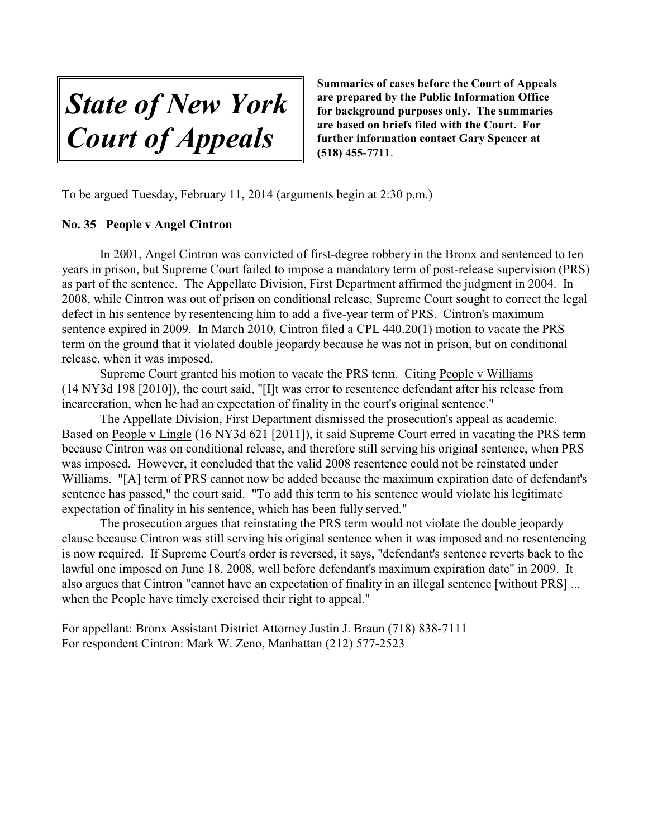*State of New York Court of Appeals*

To be argued Tuesday, February 11, 2014 (arguments begin at 2:30 p.m.)

#### **No. 35 People v Angel Cintron**

In 2001, Angel Cintron was convicted of first-degree robbery in the Bronx and sentenced to ten years in prison, but Supreme Court failed to impose a mandatory term of post-release supervision (PRS) as part of the sentence. The Appellate Division, First Department affirmed the judgment in 2004. In 2008, while Cintron was out of prison on conditional release, Supreme Court sought to correct the legal defect in his sentence by resentencing him to add a five-year term of PRS. Cintron's maximum sentence expired in 2009. In March 2010, Cintron filed a CPL 440.20(1) motion to vacate the PRS term on the ground that it violated double jeopardy because he was not in prison, but on conditional release, when it was imposed.

Supreme Court granted his motion to vacate the PRS term. Citing People v Williams (14 NY3d 198 [2010]), the court said, "[I]t was error to resentence defendant after his release from incarceration, when he had an expectation of finality in the court's original sentence."

The Appellate Division, First Department dismissed the prosecution's appeal as academic. Based on People v Lingle (16 NY3d 621 [2011]), it said Supreme Court erred in vacating the PRS term because Cintron was on conditional release, and therefore still serving his original sentence, when PRS was imposed. However, it concluded that the valid 2008 resentence could not be reinstated under Williams. "[A] term of PRS cannot now be added because the maximum expiration date of defendant's sentence has passed," the court said. "To add this term to his sentence would violate his legitimate expectation of finality in his sentence, which has been fully served."

The prosecution argues that reinstating the PRS term would not violate the double jeopardy clause because Cintron was still serving his original sentence when it was imposed and no resentencing is now required. If Supreme Court's order is reversed, it says, "defendant's sentence reverts back to the lawful one imposed on June 18, 2008, well before defendant's maximum expiration date" in 2009. It also argues that Cintron "cannot have an expectation of finality in an illegal sentence [without PRS] ... when the People have timely exercised their right to appeal."

For appellant: Bronx Assistant District Attorney Justin J. Braun (718) 838-7111 For respondent Cintron: Mark W. Zeno, Manhattan (212) 577-2523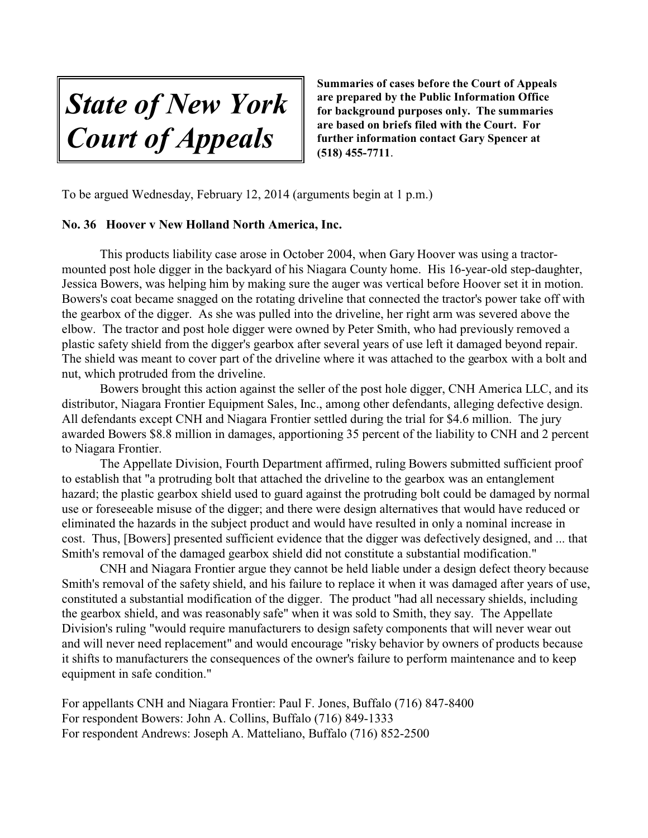*State of New York Court of Appeals*

To be argued Wednesday, February 12, 2014 (arguments begin at 1 p.m.)

#### **No. 36 Hoover v New Holland North America, Inc.**

This products liability case arose in October 2004, when Gary Hoover was using a tractormounted post hole digger in the backyard of his Niagara County home. His 16-year-old step-daughter, Jessica Bowers, was helping him by making sure the auger was vertical before Hoover set it in motion. Bowers's coat became snagged on the rotating driveline that connected the tractor's power take off with the gearbox of the digger. As she was pulled into the driveline, her right arm was severed above the elbow. The tractor and post hole digger were owned by Peter Smith, who had previously removed a plastic safety shield from the digger's gearbox after several years of use left it damaged beyond repair. The shield was meant to cover part of the driveline where it was attached to the gearbox with a bolt and nut, which protruded from the driveline.

Bowers brought this action against the seller of the post hole digger, CNH America LLC, and its distributor, Niagara Frontier Equipment Sales, Inc., among other defendants, alleging defective design. All defendants except CNH and Niagara Frontier settled during the trial for \$4.6 million. The jury awarded Bowers \$8.8 million in damages, apportioning 35 percent of the liability to CNH and 2 percent to Niagara Frontier.

The Appellate Division, Fourth Department affirmed, ruling Bowers submitted sufficient proof to establish that "a protruding bolt that attached the driveline to the gearbox was an entanglement hazard; the plastic gearbox shield used to guard against the protruding bolt could be damaged by normal use or foreseeable misuse of the digger; and there were design alternatives that would have reduced or eliminated the hazards in the subject product and would have resulted in only a nominal increase in cost. Thus, [Bowers] presented sufficient evidence that the digger was defectively designed, and ... that Smith's removal of the damaged gearbox shield did not constitute a substantial modification."

CNH and Niagara Frontier argue they cannot be held liable under a design defect theory because Smith's removal of the safety shield, and his failure to replace it when it was damaged after years of use, constituted a substantial modification of the digger. The product "had all necessary shields, including the gearbox shield, and was reasonably safe" when it was sold to Smith, they say. The Appellate Division's ruling "would require manufacturers to design safety components that will never wear out and will never need replacement" and would encourage "risky behavior by owners of products because it shifts to manufacturers the consequences of the owner's failure to perform maintenance and to keep equipment in safe condition."

For appellants CNH and Niagara Frontier: Paul F. Jones, Buffalo (716) 847-8400 For respondent Bowers: John A. Collins, Buffalo (716) 849-1333 For respondent Andrews: Joseph A. Matteliano, Buffalo (716) 852-2500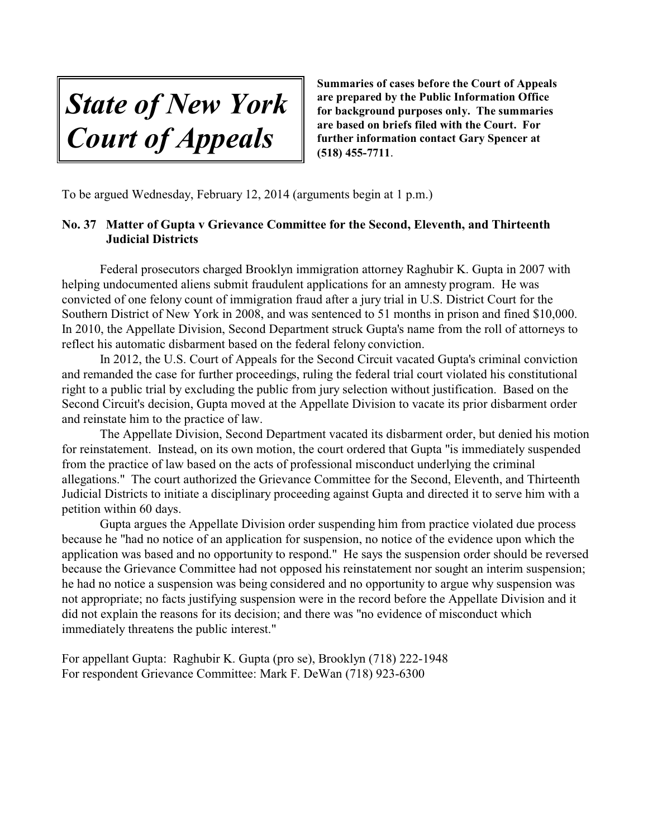*State of New York Court of Appeals*

To be argued Wednesday, February 12, 2014 (arguments begin at 1 p.m.)

# **No. 37 Matter of Gupta v Grievance Committee for the Second, Eleventh, and Thirteenth Judicial Districts**

Federal prosecutors charged Brooklyn immigration attorney Raghubir K. Gupta in 2007 with helping undocumented aliens submit fraudulent applications for an amnesty program. He was convicted of one felony count of immigration fraud after a jury trial in U.S. District Court for the Southern District of New York in 2008, and was sentenced to 51 months in prison and fined \$10,000. In 2010, the Appellate Division, Second Department struck Gupta's name from the roll of attorneys to reflect his automatic disbarment based on the federal felony conviction.

In 2012, the U.S. Court of Appeals for the Second Circuit vacated Gupta's criminal conviction and remanded the case for further proceedings, ruling the federal trial court violated his constitutional right to a public trial by excluding the public from jury selection without justification. Based on the Second Circuit's decision, Gupta moved at the Appellate Division to vacate its prior disbarment order and reinstate him to the practice of law.

The Appellate Division, Second Department vacated its disbarment order, but denied his motion for reinstatement. Instead, on its own motion, the court ordered that Gupta "is immediately suspended from the practice of law based on the acts of professional misconduct underlying the criminal allegations." The court authorized the Grievance Committee for the Second, Eleventh, and Thirteenth Judicial Districts to initiate a disciplinary proceeding against Gupta and directed it to serve him with a petition within 60 days.

Gupta argues the Appellate Division order suspending him from practice violated due process because he "had no notice of an application for suspension, no notice of the evidence upon which the application was based and no opportunity to respond." He says the suspension order should be reversed because the Grievance Committee had not opposed his reinstatement nor sought an interim suspension; he had no notice a suspension was being considered and no opportunity to argue why suspension was not appropriate; no facts justifying suspension were in the record before the Appellate Division and it did not explain the reasons for its decision; and there was "no evidence of misconduct which immediately threatens the public interest."

For appellant Gupta: Raghubir K. Gupta (pro se), Brooklyn (718) 222-1948 For respondent Grievance Committee: Mark F. DeWan (718) 923-6300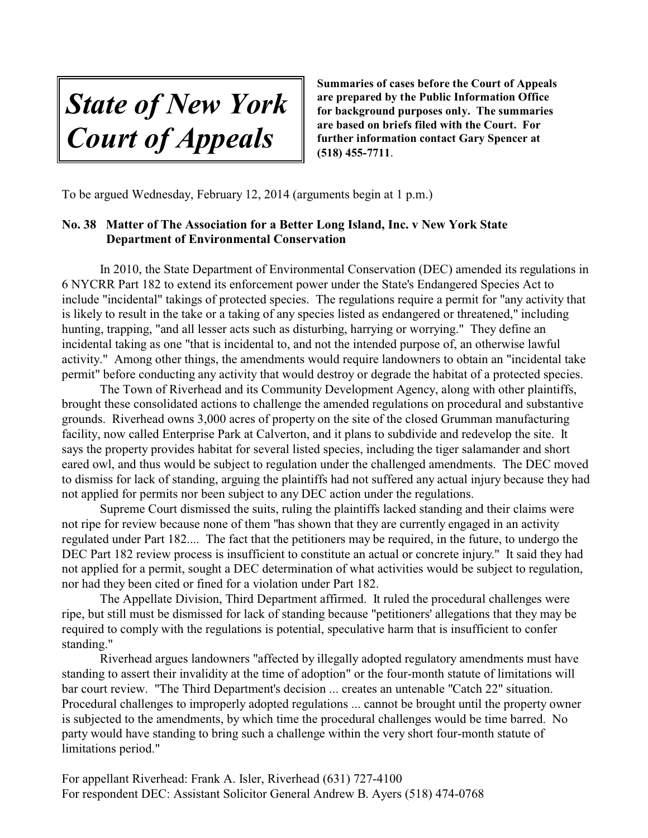*State of New York Court of Appeals*

To be argued Wednesday, February 12, 2014 (arguments begin at 1 p.m.)

# **No. 38 Matter of The Association for a Better Long Island, Inc. v New York State Department of Environmental Conservation**

In 2010, the State Department of Environmental Conservation (DEC) amended its regulations in 6 NYCRR Part 182 to extend its enforcement power under the State's Endangered Species Act to include "incidental" takings of protected species. The regulations require a permit for "any activity that is likely to result in the take or a taking of any species listed as endangered or threatened," including hunting, trapping, "and all lesser acts such as disturbing, harrying or worrying." They define an incidental taking as one "that is incidental to, and not the intended purpose of, an otherwise lawful activity." Among other things, the amendments would require landowners to obtain an "incidental take permit" before conducting any activity that would destroy or degrade the habitat of a protected species.

The Town of Riverhead and its Community Development Agency, along with other plaintiffs, brought these consolidated actions to challenge the amended regulations on procedural and substantive grounds. Riverhead owns 3,000 acres of property on the site of the closed Grumman manufacturing facility, now called Enterprise Park at Calverton, and it plans to subdivide and redevelop the site. It says the property provides habitat for several listed species, including the tiger salamander and short eared owl, and thus would be subject to regulation under the challenged amendments. The DEC moved to dismiss for lack of standing, arguing the plaintiffs had not suffered any actual injury because they had not applied for permits nor been subject to any DEC action under the regulations.

Supreme Court dismissed the suits, ruling the plaintiffs lacked standing and their claims were not ripe for review because none of them "has shown that they are currently engaged in an activity regulated under Part 182.... The fact that the petitioners may be required, in the future, to undergo the DEC Part 182 review process is insufficient to constitute an actual or concrete injury." It said they had not applied for a permit, sought a DEC determination of what activities would be subject to regulation, nor had they been cited or fined for a violation under Part 182.

The Appellate Division, Third Department affirmed. It ruled the procedural challenges were ripe, but still must be dismissed for lack of standing because "petitioners' allegations that they may be required to comply with the regulations is potential, speculative harm that is insufficient to confer standing."

Riverhead argues landowners "affected by illegally adopted regulatory amendments must have standing to assert their invalidity at the time of adoption" or the four-month statute of limitations will bar court review. "The Third Department's decision ... creates an untenable "Catch 22" situation. Procedural challenges to improperly adopted regulations ... cannot be brought until the property owner is subjected to the amendments, by which time the procedural challenges would be time barred. No party would have standing to bring such a challenge within the very short four-month statute of limitations period."

For appellant Riverhead: Frank A. Isler, Riverhead (631) 727-4100 For respondent DEC: Assistant Solicitor General Andrew B. Ayers (518) 474-0768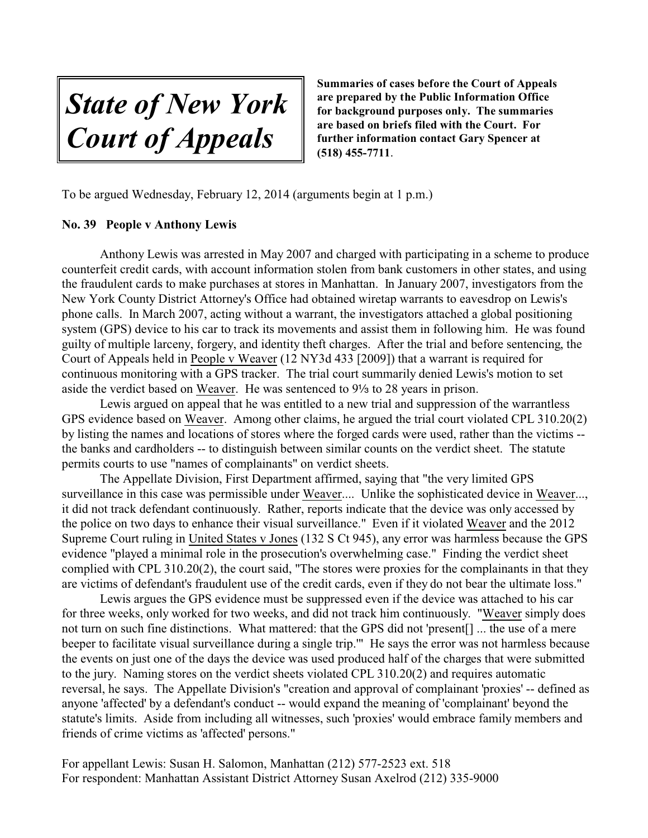*State of New York Court of Appeals*

To be argued Wednesday, February 12, 2014 (arguments begin at 1 p.m.)

#### **No. 39 People v Anthony Lewis**

Anthony Lewis was arrested in May 2007 and charged with participating in a scheme to produce counterfeit credit cards, with account information stolen from bank customers in other states, and using the fraudulent cards to make purchases at stores in Manhattan. In January 2007, investigators from the New York County District Attorney's Office had obtained wiretap warrants to eavesdrop on Lewis's phone calls. In March 2007, acting without a warrant, the investigators attached a global positioning system (GPS) device to his car to track its movements and assist them in following him. He was found guilty of multiple larceny, forgery, and identity theft charges. After the trial and before sentencing, the Court of Appeals held in People v Weaver (12 NY3d 433 [2009]) that a warrant is required for continuous monitoring with a GPS tracker. The trial court summarily denied Lewis's motion to set aside the verdict based on Weaver. He was sentenced to 9<sup>1</sup>/<sub>3</sub> to 28 years in prison.

Lewis argued on appeal that he was entitled to a new trial and suppression of the warrantless GPS evidence based on Weaver. Among other claims, he argued the trial court violated CPL 310.20(2) by listing the names and locations of stores where the forged cards were used, rather than the victims - the banks and cardholders -- to distinguish between similar counts on the verdict sheet. The statute permits courts to use "names of complainants" on verdict sheets.

The Appellate Division, First Department affirmed, saying that "the very limited GPS surveillance in this case was permissible under Weaver.... Unlike the sophisticated device in Weaver..., it did not track defendant continuously. Rather, reports indicate that the device was only accessed by the police on two days to enhance their visual surveillance." Even if it violated Weaver and the 2012 Supreme Court ruling in United States v Jones (132 S Ct 945), any error was harmless because the GPS evidence "played a minimal role in the prosecution's overwhelming case." Finding the verdict sheet complied with CPL 310.20(2), the court said, "The stores were proxies for the complainants in that they are victims of defendant's fraudulent use of the credit cards, even if they do not bear the ultimate loss."

Lewis argues the GPS evidence must be suppressed even if the device was attached to his car for three weeks, only worked for two weeks, and did not track him continuously. "Weaver simply does not turn on such fine distinctions. What mattered: that the GPS did not 'present[] ... the use of a mere beeper to facilitate visual surveillance during a single trip.'" He says the error was not harmless because the events on just one of the days the device was used produced half of the charges that were submitted to the jury. Naming stores on the verdict sheets violated CPL 310.20(2) and requires automatic reversal, he says. The Appellate Division's "creation and approval of complainant 'proxies' -- defined as anyone 'affected' by a defendant's conduct -- would expand the meaning of 'complainant' beyond the statute's limits. Aside from including all witnesses, such 'proxies' would embrace family members and friends of crime victims as 'affected' persons."

For appellant Lewis: Susan H. Salomon, Manhattan (212) 577-2523 ext. 518 For respondent: Manhattan Assistant District Attorney Susan Axelrod (212) 335-9000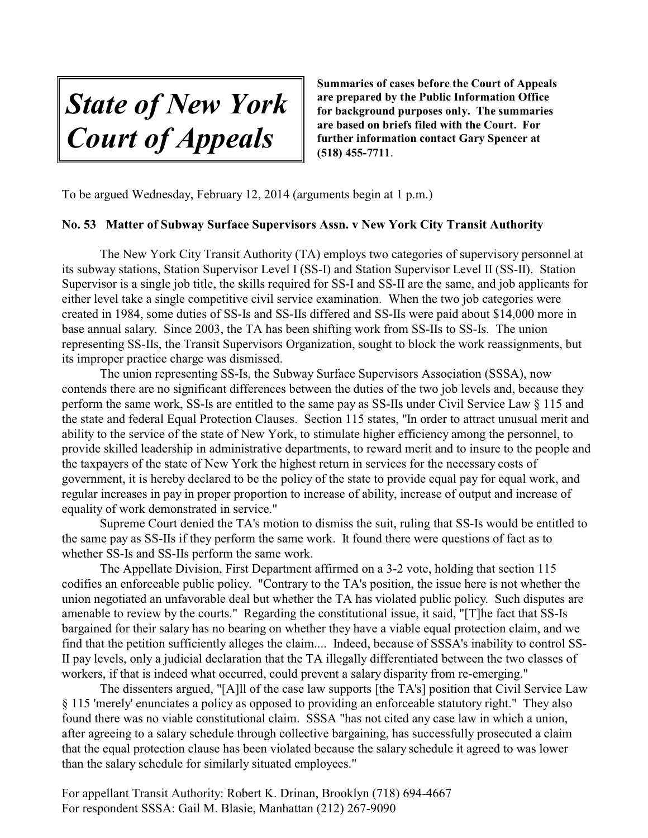*State of New York Court of Appeals*

To be argued Wednesday, February 12, 2014 (arguments begin at 1 p.m.)

#### **No. 53 Matter of Subway Surface Supervisors Assn. v New York City Transit Authority**

The New York City Transit Authority (TA) employs two categories of supervisory personnel at its subway stations, Station Supervisor Level I (SS-I) and Station Supervisor Level II (SS-II). Station Supervisor is a single job title, the skills required for SS-I and SS-II are the same, and job applicants for either level take a single competitive civil service examination. When the two job categories were created in 1984, some duties of SS-Is and SS-IIs differed and SS-IIs were paid about \$14,000 more in base annual salary. Since 2003, the TA has been shifting work from SS-IIs to SS-Is. The union representing SS-IIs, the Transit Supervisors Organization, sought to block the work reassignments, but its improper practice charge was dismissed.

The union representing SS-Is, the Subway Surface Supervisors Association (SSSA), now contends there are no significant differences between the duties of the two job levels and, because they perform the same work, SS-Is are entitled to the same pay as SS-IIs under Civil Service Law § 115 and the state and federal Equal Protection Clauses. Section 115 states, "In order to attract unusual merit and ability to the service of the state of New York, to stimulate higher efficiency among the personnel, to provide skilled leadership in administrative departments, to reward merit and to insure to the people and the taxpayers of the state of New York the highest return in services for the necessary costs of government, it is hereby declared to be the policy of the state to provide equal pay for equal work, and regular increases in pay in proper proportion to increase of ability, increase of output and increase of equality of work demonstrated in service."

Supreme Court denied the TA's motion to dismiss the suit, ruling that SS-Is would be entitled to the same pay as SS-IIs if they perform the same work. It found there were questions of fact as to whether SS-Is and SS-IIs perform the same work.

The Appellate Division, First Department affirmed on a 3-2 vote, holding that section 115 codifies an enforceable public policy. "Contrary to the TA's position, the issue here is not whether the union negotiated an unfavorable deal but whether the TA has violated public policy. Such disputes are amenable to review by the courts." Regarding the constitutional issue, it said, "[T]he fact that SS-Is bargained for their salary has no bearing on whether they have a viable equal protection claim, and we find that the petition sufficiently alleges the claim.... Indeed, because of SSSA's inability to control SS-II pay levels, only a judicial declaration that the TA illegally differentiated between the two classes of workers, if that is indeed what occurred, could prevent a salary disparity from re-emerging."

The dissenters argued, "[A]ll of the case law supports [the TA's] position that Civil Service Law § 115 'merely' enunciates a policy as opposed to providing an enforceable statutory right." They also found there was no viable constitutional claim. SSSA "has not cited any case law in which a union, after agreeing to a salary schedule through collective bargaining, has successfully prosecuted a claim that the equal protection clause has been violated because the salary schedule it agreed to was lower than the salary schedule for similarly situated employees."

For appellant Transit Authority: Robert K. Drinan, Brooklyn (718) 694-4667 For respondent SSSA: Gail M. Blasie, Manhattan (212) 267-9090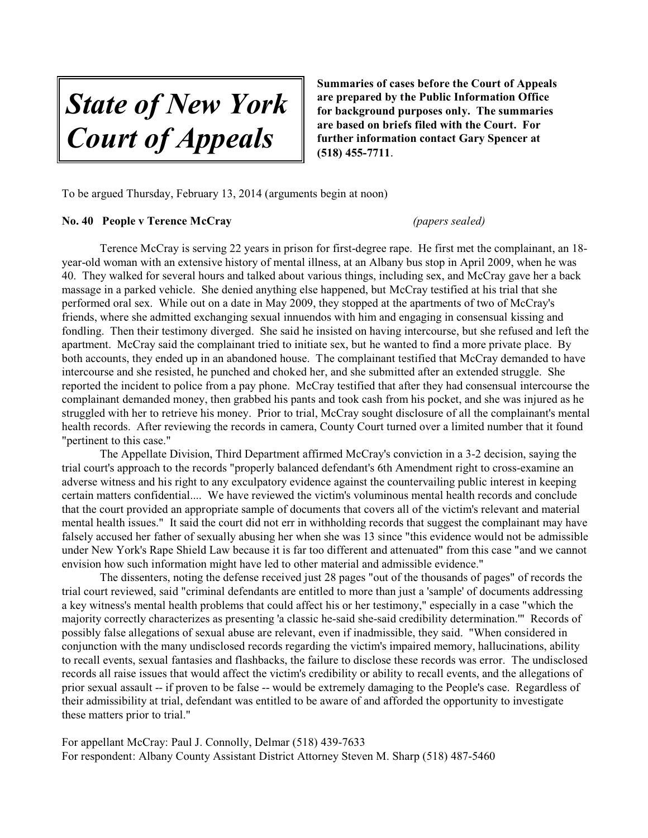*State of New York Court of Appeals*

To be argued Thursday, February 13, 2014 (arguments begin at noon)

#### **No. 40 People v Terence McCray** *(papers sealed)*

Terence McCray is serving 22 years in prison for first-degree rape. He first met the complainant, an 18 year-old woman with an extensive history of mental illness, at an Albany bus stop in April 2009, when he was 40. They walked for several hours and talked about various things, including sex, and McCray gave her a back massage in a parked vehicle. She denied anything else happened, but McCray testified at his trial that she performed oral sex. While out on a date in May 2009, they stopped at the apartments of two of McCray's friends, where she admitted exchanging sexual innuendos with him and engaging in consensual kissing and fondling. Then their testimony diverged. She said he insisted on having intercourse, but she refused and left the apartment. McCray said the complainant tried to initiate sex, but he wanted to find a more private place. By both accounts, they ended up in an abandoned house. The complainant testified that McCray demanded to have intercourse and she resisted, he punched and choked her, and she submitted after an extended struggle. She reported the incident to police from a pay phone. McCray testified that after they had consensual intercourse the complainant demanded money, then grabbed his pants and took cash from his pocket, and she was injured as he struggled with her to retrieve his money. Prior to trial, McCray sought disclosure of all the complainant's mental health records. After reviewing the records in camera, County Court turned over a limited number that it found "pertinent to this case."

The Appellate Division, Third Department affirmed McCray's conviction in a 3-2 decision, saying the trial court's approach to the records "properly balanced defendant's 6th Amendment right to cross-examine an adverse witness and his right to any exculpatory evidence against the countervailing public interest in keeping certain matters confidential.... We have reviewed the victim's voluminous mental health records and conclude that the court provided an appropriate sample of documents that covers all of the victim's relevant and material mental health issues." It said the court did not err in withholding records that suggest the complainant may have falsely accused her father of sexually abusing her when she was 13 since "this evidence would not be admissible under New York's Rape Shield Law because it is far too different and attenuated" from this case "and we cannot envision how such information might have led to other material and admissible evidence."

The dissenters, noting the defense received just 28 pages "out of the thousands of pages" of records the trial court reviewed, said "criminal defendants are entitled to more than just a 'sample' of documents addressing a key witness's mental health problems that could affect his or her testimony," especially in a case "which the majority correctly characterizes as presenting 'a classic he-said she-said credibility determination.'" Records of possibly false allegations of sexual abuse are relevant, even if inadmissible, they said. "When considered in conjunction with the many undisclosed records regarding the victim's impaired memory, hallucinations, ability to recall events, sexual fantasies and flashbacks, the failure to disclose these records was error. The undisclosed records all raise issues that would affect the victim's credibility or ability to recall events, and the allegations of prior sexual assault -- if proven to be false -- would be extremely damaging to the People's case. Regardless of their admissibility at trial, defendant was entitled to be aware of and afforded the opportunity to investigate these matters prior to trial."

For appellant McCray: Paul J. Connolly, Delmar (518) 439-7633 For respondent: Albany County Assistant District Attorney Steven M. Sharp (518) 487-5460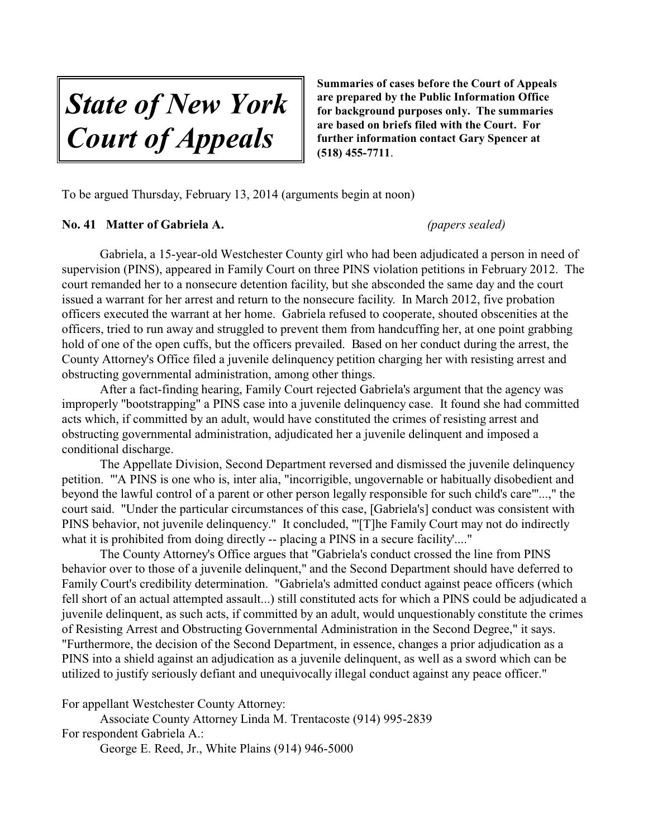*State of New York Court of Appeals*

To be argued Thursday, February 13, 2014 (arguments begin at noon)

#### **No. 41 Matter of Gabriela A.** *(papers sealed)*

Gabriela, a 15-year-old Westchester County girl who had been adjudicated a person in need of supervision (PINS), appeared in Family Court on three PINS violation petitions in February 2012. The court remanded her to a nonsecure detention facility, but she absconded the same day and the court issued a warrant for her arrest and return to the nonsecure facility. In March 2012, five probation officers executed the warrant at her home. Gabriela refused to cooperate, shouted obscenities at the officers, tried to run away and struggled to prevent them from handcuffing her, at one point grabbing hold of one of the open cuffs, but the officers prevailed. Based on her conduct during the arrest, the County Attorney's Office filed a juvenile delinquency petition charging her with resisting arrest and obstructing governmental administration, among other things.

After a fact-finding hearing, Family Court rejected Gabriela's argument that the agency was improperly "bootstrapping" a PINS case into a juvenile delinquency case. It found she had committed acts which, if committed by an adult, would have constituted the crimes of resisting arrest and obstructing governmental administration, adjudicated her a juvenile delinquent and imposed a conditional discharge.

The Appellate Division, Second Department reversed and dismissed the juvenile delinquency petition. "'A PINS is one who is, inter alia, "incorrigible, ungovernable or habitually disobedient and beyond the lawful control of a parent or other person legally responsible for such child's care"'...," the court said. "Under the particular circumstances of this case, [Gabriela's] conduct was consistent with PINS behavior, not juvenile delinquency." It concluded, "'[T]he Family Court may not do indirectly what it is prohibited from doing directly -- placing a PINS in a secure facility'...."

The County Attorney's Office argues that "Gabriela's conduct crossed the line from PINS behavior over to those of a juvenile delinquent," and the Second Department should have deferred to Family Court's credibility determination. "Gabriela's admitted conduct against peace officers (which fell short of an actual attempted assault...) still constituted acts for which a PINS could be adjudicated a juvenile delinquent, as such acts, if committed by an adult, would unquestionably constitute the crimes of Resisting Arrest and Obstructing Governmental Administration in the Second Degree," it says. "Furthermore, the decision of the Second Department, in essence, changes a prior adjudication as a PINS into a shield against an adjudication as a juvenile delinquent, as well as a sword which can be utilized to justify seriously defiant and unequivocally illegal conduct against any peace officer."

For appellant Westchester County Attorney:

Associate County Attorney Linda M. Trentacoste (914) 995-2839 For respondent Gabriela A.:

George E. Reed, Jr., White Plains (914) 946-5000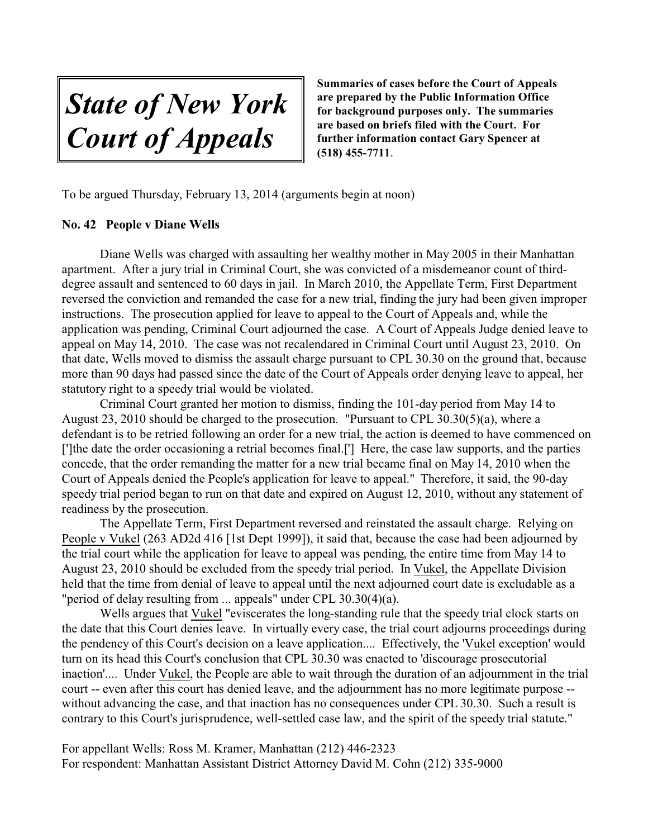*State of New York Court of Appeals*

To be argued Thursday, February 13, 2014 (arguments begin at noon)

#### **No. 42 People v Diane Wells**

Diane Wells was charged with assaulting her wealthy mother in May 2005 in their Manhattan apartment. After a jury trial in Criminal Court, she was convicted of a misdemeanor count of thirddegree assault and sentenced to 60 days in jail. In March 2010, the Appellate Term, First Department reversed the conviction and remanded the case for a new trial, finding the jury had been given improper instructions. The prosecution applied for leave to appeal to the Court of Appeals and, while the application was pending, Criminal Court adjourned the case. A Court of Appeals Judge denied leave to appeal on May 14, 2010. The case was not recalendared in Criminal Court until August 23, 2010. On that date, Wells moved to dismiss the assault charge pursuant to CPL 30.30 on the ground that, because more than 90 days had passed since the date of the Court of Appeals order denying leave to appeal, her statutory right to a speedy trial would be violated.

Criminal Court granted her motion to dismiss, finding the 101-day period from May 14 to August 23, 2010 should be charged to the prosecution. "Pursuant to CPL 30.30(5)(a), where a defendant is to be retried following an order for a new trial, the action is deemed to have commenced on [']the date the order occasioning a retrial becomes final. ['] Here, the case law supports, and the parties concede, that the order remanding the matter for a new trial became final on May 14, 2010 when the Court of Appeals denied the People's application for leave to appeal." Therefore, it said, the 90-day speedy trial period began to run on that date and expired on August 12, 2010, without any statement of readiness by the prosecution.

The Appellate Term, First Department reversed and reinstated the assault charge. Relying on People v Vukel (263 AD2d 416 [1st Dept 1999]), it said that, because the case had been adjourned by the trial court while the application for leave to appeal was pending, the entire time from May 14 to August 23, 2010 should be excluded from the speedy trial period. In Vukel, the Appellate Division held that the time from denial of leave to appeal until the next adjourned court date is excludable as a "period of delay resulting from ... appeals" under CPL 30.30(4)(a).

Wells argues that Vukel "eviscerates the long-standing rule that the speedy trial clock starts on the date that this Court denies leave. In virtually every case, the trial court adjourns proceedings during the pendency of this Court's decision on a leave application.... Effectively, the 'Vukel exception' would turn on its head this Court's conclusion that CPL 30.30 was enacted to 'discourage prosecutorial inaction'.... Under Vukel, the People are able to wait through the duration of an adjournment in the trial court -- even after this court has denied leave, and the adjournment has no more legitimate purpose - without advancing the case, and that inaction has no consequences under CPL 30.30. Such a result is contrary to this Court's jurisprudence, well-settled case law, and the spirit of the speedy trial statute."

For appellant Wells: Ross M. Kramer, Manhattan (212) 446-2323 For respondent: Manhattan Assistant District Attorney David M. Cohn (212) 335-9000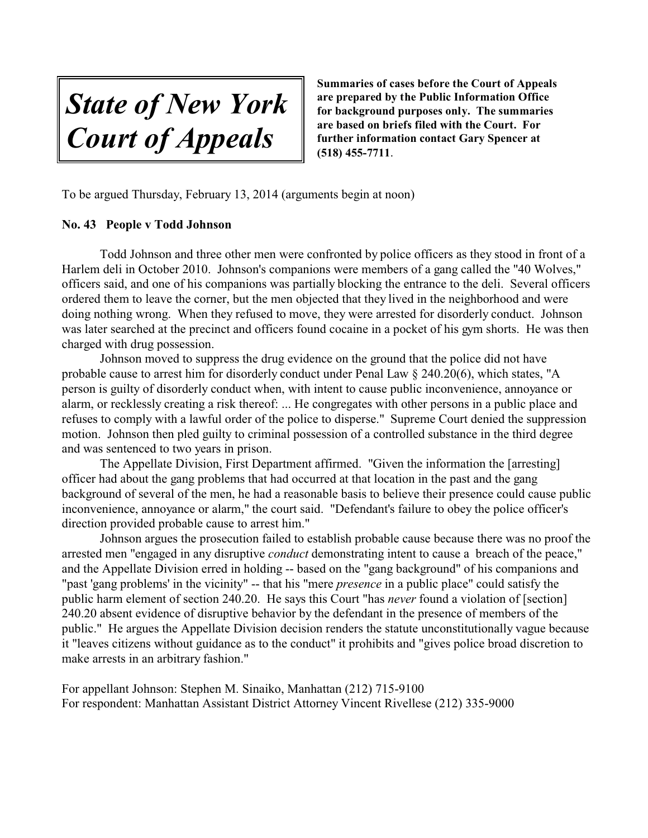*State of New York Court of Appeals*

To be argued Thursday, February 13, 2014 (arguments begin at noon)

#### **No. 43 People v Todd Johnson**

Todd Johnson and three other men were confronted by police officers as they stood in front of a Harlem deli in October 2010. Johnson's companions were members of a gang called the "40 Wolves," officers said, and one of his companions was partially blocking the entrance to the deli. Several officers ordered them to leave the corner, but the men objected that they lived in the neighborhood and were doing nothing wrong. When they refused to move, they were arrested for disorderly conduct. Johnson was later searched at the precinct and officers found cocaine in a pocket of his gym shorts. He was then charged with drug possession.

Johnson moved to suppress the drug evidence on the ground that the police did not have probable cause to arrest him for disorderly conduct under Penal Law § 240.20(6), which states, "A person is guilty of disorderly conduct when, with intent to cause public inconvenience, annoyance or alarm, or recklessly creating a risk thereof: ... He congregates with other persons in a public place and refuses to comply with a lawful order of the police to disperse." Supreme Court denied the suppression motion. Johnson then pled guilty to criminal possession of a controlled substance in the third degree and was sentenced to two years in prison.

The Appellate Division, First Department affirmed. "Given the information the [arresting] officer had about the gang problems that had occurred at that location in the past and the gang background of several of the men, he had a reasonable basis to believe their presence could cause public inconvenience, annoyance or alarm," the court said. "Defendant's failure to obey the police officer's direction provided probable cause to arrest him."

Johnson argues the prosecution failed to establish probable cause because there was no proof the arrested men "engaged in any disruptive *conduct* demonstrating intent to cause a breach of the peace," and the Appellate Division erred in holding -- based on the "gang background" of his companions and "past 'gang problems' in the vicinity" -- that his "mere *presence* in a public place" could satisfy the public harm element of section 240.20. He says this Court "has *never* found a violation of [section] 240.20 absent evidence of disruptive behavior by the defendant in the presence of members of the public." He argues the Appellate Division decision renders the statute unconstitutionally vague because it "leaves citizens without guidance as to the conduct" it prohibits and "gives police broad discretion to make arrests in an arbitrary fashion."

For appellant Johnson: Stephen M. Sinaiko, Manhattan (212) 715-9100 For respondent: Manhattan Assistant District Attorney Vincent Rivellese (212) 335-9000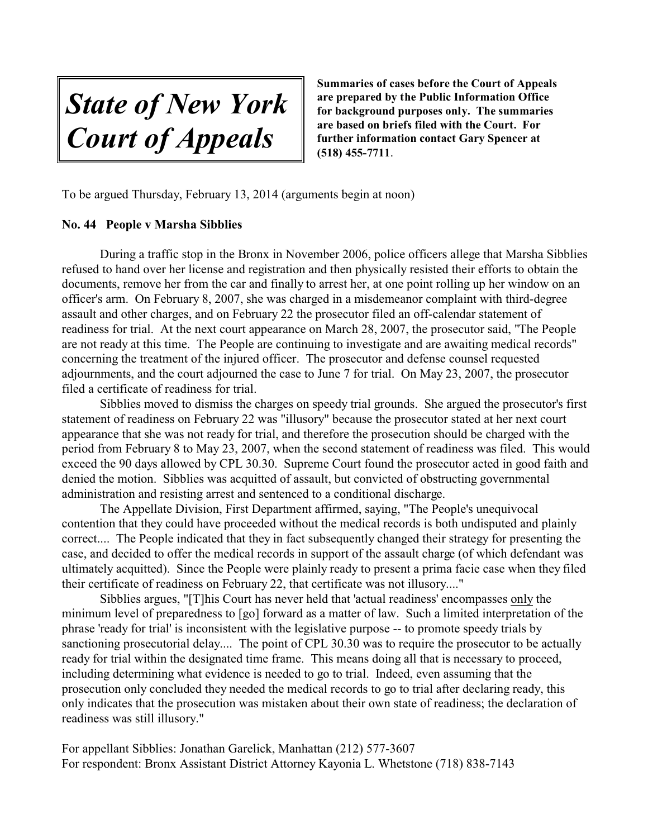*State of New York Court of Appeals*

To be argued Thursday, February 13, 2014 (arguments begin at noon)

#### **No. 44 People v Marsha Sibblies**

During a traffic stop in the Bronx in November 2006, police officers allege that Marsha Sibblies refused to hand over her license and registration and then physically resisted their efforts to obtain the documents, remove her from the car and finally to arrest her, at one point rolling up her window on an officer's arm. On February 8, 2007, she was charged in a misdemeanor complaint with third-degree assault and other charges, and on February 22 the prosecutor filed an off-calendar statement of readiness for trial. At the next court appearance on March 28, 2007, the prosecutor said, "The People are not ready at this time. The People are continuing to investigate and are awaiting medical records" concerning the treatment of the injured officer. The prosecutor and defense counsel requested adjournments, and the court adjourned the case to June 7 for trial. On May 23, 2007, the prosecutor filed a certificate of readiness for trial.

Sibblies moved to dismiss the charges on speedy trial grounds. She argued the prosecutor's first statement of readiness on February 22 was "illusory" because the prosecutor stated at her next court appearance that she was not ready for trial, and therefore the prosecution should be charged with the period from February 8 to May 23, 2007, when the second statement of readiness was filed. This would exceed the 90 days allowed by CPL 30.30. Supreme Court found the prosecutor acted in good faith and denied the motion. Sibblies was acquitted of assault, but convicted of obstructing governmental administration and resisting arrest and sentenced to a conditional discharge.

The Appellate Division, First Department affirmed, saying, "The People's unequivocal contention that they could have proceeded without the medical records is both undisputed and plainly correct.... The People indicated that they in fact subsequently changed their strategy for presenting the case, and decided to offer the medical records in support of the assault charge (of which defendant was ultimately acquitted). Since the People were plainly ready to present a prima facie case when they filed their certificate of readiness on February 22, that certificate was not illusory...."

Sibblies argues, "[T]his Court has never held that 'actual readiness' encompasses only the minimum level of preparedness to [go] forward as a matter of law. Such a limited interpretation of the phrase 'ready for trial' is inconsistent with the legislative purpose -- to promote speedy trials by sanctioning prosecutorial delay.... The point of CPL 30.30 was to require the prosecutor to be actually ready for trial within the designated time frame. This means doing all that is necessary to proceed, including determining what evidence is needed to go to trial. Indeed, even assuming that the prosecution only concluded they needed the medical records to go to trial after declaring ready, this only indicates that the prosecution was mistaken about their own state of readiness; the declaration of readiness was still illusory."

For appellant Sibblies: Jonathan Garelick, Manhattan (212) 577-3607 For respondent: Bronx Assistant District Attorney Kayonia L. Whetstone (718) 838-7143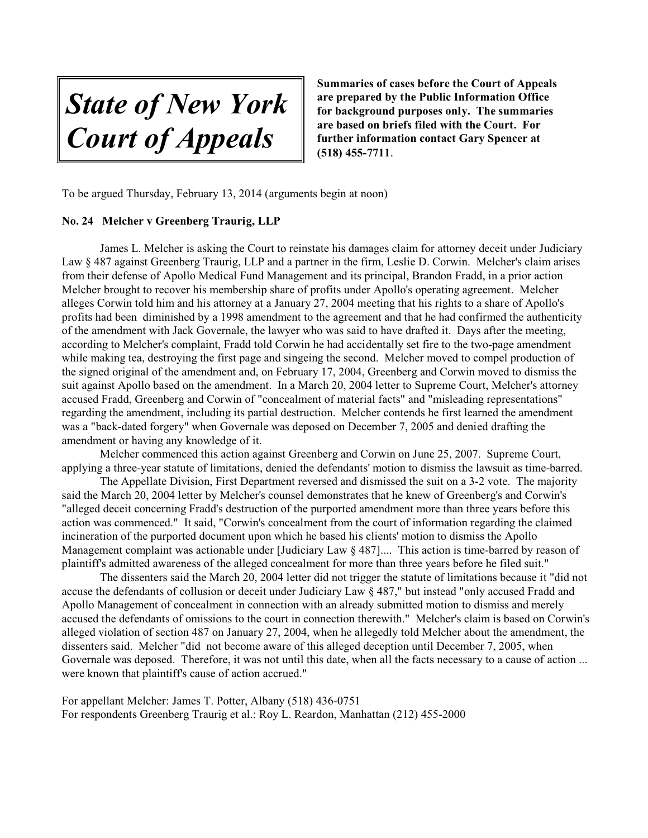*State of New York Court of Appeals*

To be argued Thursday, February 13, 2014 (arguments begin at noon)

#### **No. 24 Melcher v Greenberg Traurig, LLP**

James L. Melcher is asking the Court to reinstate his damages claim for attorney deceit under Judiciary Law § 487 against Greenberg Traurig, LLP and a partner in the firm, Leslie D. Corwin. Melcher's claim arises from their defense of Apollo Medical Fund Management and its principal, Brandon Fradd, in a prior action Melcher brought to recover his membership share of profits under Apollo's operating agreement. Melcher alleges Corwin told him and his attorney at a January 27, 2004 meeting that his rights to a share of Apollo's profits had been diminished by a 1998 amendment to the agreement and that he had confirmed the authenticity of the amendment with Jack Governale, the lawyer who was said to have drafted it. Days after the meeting, according to Melcher's complaint, Fradd told Corwin he had accidentally set fire to the two-page amendment while making tea, destroying the first page and singeing the second. Melcher moved to compel production of the signed original of the amendment and, on February 17, 2004, Greenberg and Corwin moved to dismiss the suit against Apollo based on the amendment. In a March 20, 2004 letter to Supreme Court, Melcher's attorney accused Fradd, Greenberg and Corwin of "concealment of material facts" and "misleading representations" regarding the amendment, including its partial destruction. Melcher contends he first learned the amendment was a "back-dated forgery" when Governale was deposed on December 7, 2005 and denied drafting the amendment or having any knowledge of it.

Melcher commenced this action against Greenberg and Corwin on June 25, 2007. Supreme Court, applying a three-year statute of limitations, denied the defendants' motion to dismiss the lawsuit as time-barred.

The Appellate Division, First Department reversed and dismissed the suit on a 3-2 vote. The majority said the March 20, 2004 letter by Melcher's counsel demonstrates that he knew of Greenberg's and Corwin's "alleged deceit concerning Fradd's destruction of the purported amendment more than three years before this action was commenced." It said, "Corwin's concealment from the court of information regarding the claimed incineration of the purported document upon which he based his clients' motion to dismiss the Apollo Management complaint was actionable under [Judiciary Law § 487].... This action is time-barred by reason of plaintiff's admitted awareness of the alleged concealment for more than three years before he filed suit."

The dissenters said the March 20, 2004 letter did not trigger the statute of limitations because it "did not accuse the defendants of collusion or deceit under Judiciary Law § 487," but instead "only accused Fradd and Apollo Management of concealment in connection with an already submitted motion to dismiss and merely accused the defendants of omissions to the court in connection therewith." Melcher's claim is based on Corwin's alleged violation of section 487 on January 27, 2004, when he allegedly told Melcher about the amendment, the dissenters said. Melcher "did not become aware of this alleged deception until December 7, 2005, when Governale was deposed. Therefore, it was not until this date, when all the facts necessary to a cause of action ... were known that plaintiff's cause of action accrued."

For appellant Melcher: James T. Potter, Albany (518) 436-0751 For respondents Greenberg Traurig et al.: Roy L. Reardon, Manhattan (212) 455-2000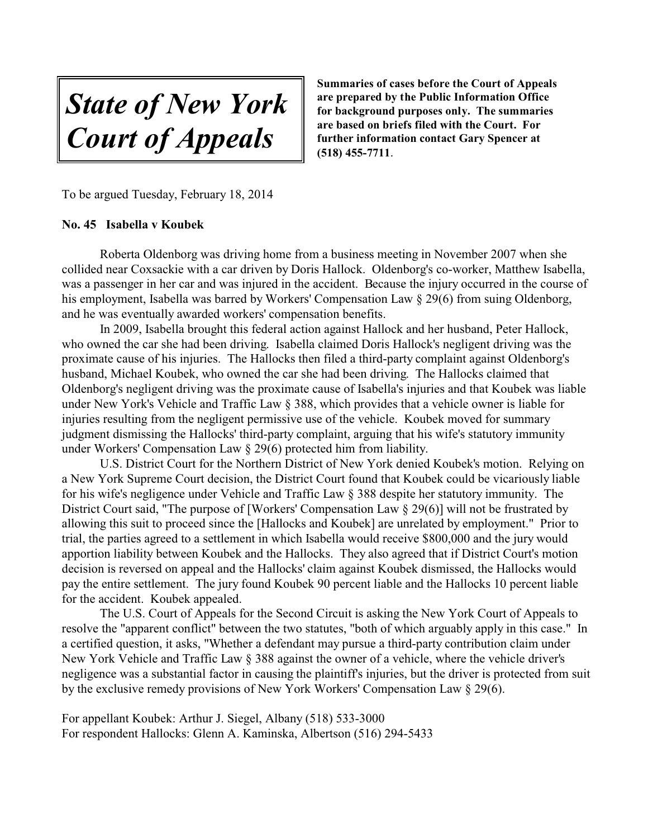*State of New York Court of Appeals*

To be argued Tuesday, February 18, 2014

#### **No. 45 Isabella v Koubek**

Roberta Oldenborg was driving home from a business meeting in November 2007 when she collided near Coxsackie with a car driven by Doris Hallock. Oldenborg's co-worker, Matthew Isabella, was a passenger in her car and was injured in the accident. Because the injury occurred in the course of his employment, Isabella was barred by Workers' Compensation Law § 29(6) from suing Oldenborg, and he was eventually awarded workers' compensation benefits.

In 2009, Isabella brought this federal action against Hallock and her husband, Peter Hallock, who owned the car she had been driving. Isabella claimed Doris Hallock's negligent driving was the proximate cause of his injuries. The Hallocks then filed a third-party complaint against Oldenborg's husband, Michael Koubek, who owned the car she had been driving. The Hallocks claimed that Oldenborg's negligent driving was the proximate cause of Isabella's injuries and that Koubek was liable under New York's Vehicle and Traffic Law § 388, which provides that a vehicle owner is liable for injuries resulting from the negligent permissive use of the vehicle. Koubek moved for summary judgment dismissing the Hallocks' third-party complaint, arguing that his wife's statutory immunity under Workers' Compensation Law § 29(6) protected him from liability.

U.S. District Court for the Northern District of New York denied Koubek's motion. Relying on a New York Supreme Court decision, the District Court found that Koubek could be vicariously liable for his wife's negligence under Vehicle and Traffic Law § 388 despite her statutory immunity. The District Court said, "The purpose of [Workers' Compensation Law § 29(6)] will not be frustrated by allowing this suit to proceed since the [Hallocks and Koubek] are unrelated by employment." Prior to trial, the parties agreed to a settlement in which Isabella would receive \$800,000 and the jury would apportion liability between Koubek and the Hallocks. They also agreed that if District Court's motion decision is reversed on appeal and the Hallocks' claim against Koubek dismissed, the Hallocks would pay the entire settlement. The jury found Koubek 90 percent liable and the Hallocks 10 percent liable for the accident. Koubek appealed.

The U.S. Court of Appeals for the Second Circuit is asking the New York Court of Appeals to resolve the "apparent conflict" between the two statutes, "both of which arguably apply in this case." In a certified question, it asks, "Whether a defendant may pursue a third-party contribution claim under New York Vehicle and Traffic Law § 388 against the owner of a vehicle, where the vehicle driver's negligence was a substantial factor in causing the plaintiff's injuries, but the driver is protected from suit by the exclusive remedy provisions of New York Workers' Compensation Law § 29(6).

For appellant Koubek: Arthur J. Siegel, Albany (518) 533-3000 For respondent Hallocks: Glenn A. Kaminska, Albertson (516) 294-5433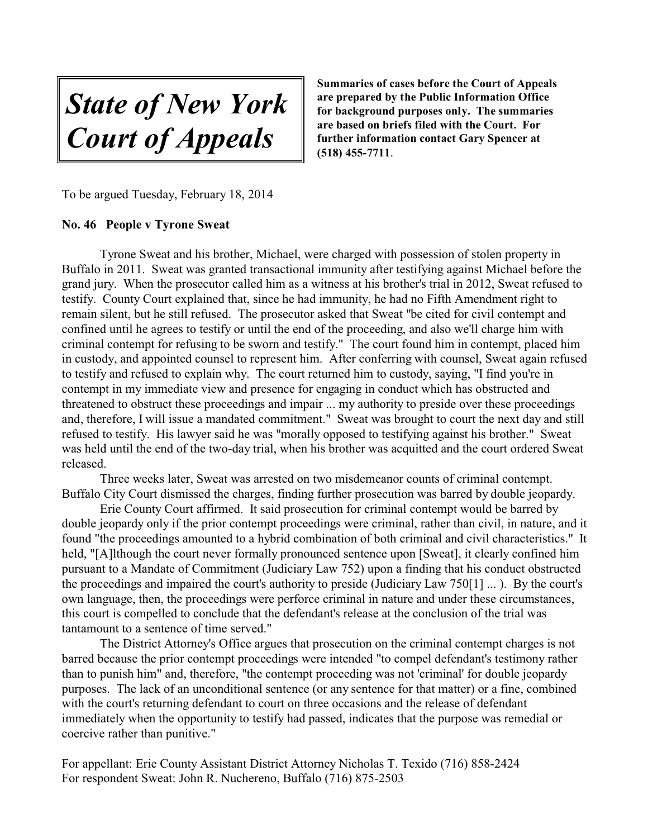*State of New York Court of Appeals*

To be argued Tuesday, February 18, 2014

#### **No. 46 People v Tyrone Sweat**

Tyrone Sweat and his brother, Michael, were charged with possession of stolen property in Buffalo in 2011. Sweat was granted transactional immunity after testifying against Michael before the grand jury. When the prosecutor called him as a witness at his brother's trial in 2012, Sweat refused to testify. County Court explained that, since he had immunity, he had no Fifth Amendment right to remain silent, but he still refused. The prosecutor asked that Sweat "be cited for civil contempt and confined until he agrees to testify or until the end of the proceeding, and also we'll charge him with criminal contempt for refusing to be sworn and testify." The court found him in contempt, placed him in custody, and appointed counsel to represent him. After conferring with counsel, Sweat again refused to testify and refused to explain why. The court returned him to custody, saying, "I find you're in contempt in my immediate view and presence for engaging in conduct which has obstructed and threatened to obstruct these proceedings and impair ... my authority to preside over these proceedings and, therefore, I will issue a mandated commitment." Sweat was brought to court the next day and still refused to testify. His lawyer said he was "morally opposed to testifying against his brother." Sweat was held until the end of the two-day trial, when his brother was acquitted and the court ordered Sweat released.

Three weeks later, Sweat was arrested on two misdemeanor counts of criminal contempt. Buffalo City Court dismissed the charges, finding further prosecution was barred by double jeopardy.

Erie County Court affirmed. It said prosecution for criminal contempt would be barred by double jeopardy only if the prior contempt proceedings were criminal, rather than civil, in nature, and it found "the proceedings amounted to a hybrid combination of both criminal and civil characteristics." It held, "[A]lthough the court never formally pronounced sentence upon [Sweat], it clearly confined him pursuant to a Mandate of Commitment (Judiciary Law 752) upon a finding that his conduct obstructed the proceedings and impaired the court's authority to preside (Judiciary Law 750[1] ... ). By the court's own language, then, the proceedings were perforce criminal in nature and under these circumstances, this court is compelled to conclude that the defendant's release at the conclusion of the trial was tantamount to a sentence of time served."

The District Attorney's Office argues that prosecution on the criminal contempt charges is not barred because the prior contempt proceedings were intended "to compel defendant's testimony rather than to punish him" and, therefore, "the contempt proceeding was not 'criminal' for double jeopardy purposes. The lack of an unconditional sentence (or any sentence for that matter) or a fine, combined with the court's returning defendant to court on three occasions and the release of defendant immediately when the opportunity to testify had passed, indicates that the purpose was remedial or coercive rather than punitive."

For appellant: Erie County Assistant District Attorney Nicholas T. Texido (716) 858-2424 For respondent Sweat: John R. Nuchereno, Buffalo (716) 875-2503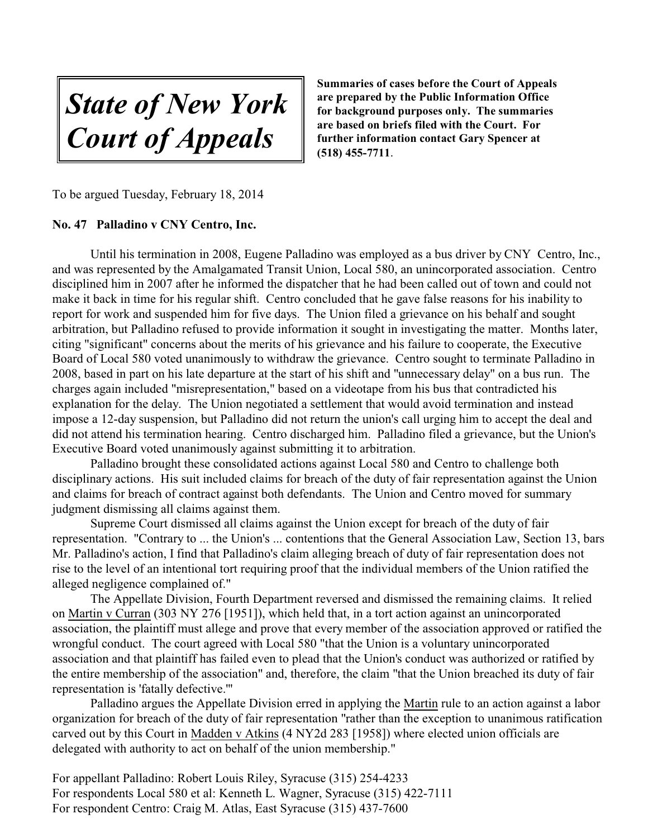*State of New York Court of Appeals*

To be argued Tuesday, February 18, 2014

#### **No. 47 Palladino v CNY Centro, Inc.**

Until his termination in 2008, Eugene Palladino was employed as a bus driver by CNY Centro, Inc., and was represented by the Amalgamated Transit Union, Local 580, an unincorporated association. Centro disciplined him in 2007 after he informed the dispatcher that he had been called out of town and could not make it back in time for his regular shift. Centro concluded that he gave false reasons for his inability to report for work and suspended him for five days. The Union filed a grievance on his behalf and sought arbitration, but Palladino refused to provide information it sought in investigating the matter. Months later, citing "significant" concerns about the merits of his grievance and his failure to cooperate, the Executive Board of Local 580 voted unanimously to withdraw the grievance. Centro sought to terminate Palladino in 2008, based in part on his late departure at the start of his shift and "unnecessary delay" on a bus run. The charges again included "misrepresentation," based on a videotape from his bus that contradicted his explanation for the delay. The Union negotiated a settlement that would avoid termination and instead impose a 12-day suspension, but Palladino did not return the union's call urging him to accept the deal and did not attend his termination hearing. Centro discharged him. Palladino filed a grievance, but the Union's Executive Board voted unanimously against submitting it to arbitration.

Palladino brought these consolidated actions against Local 580 and Centro to challenge both disciplinary actions. His suit included claims for breach of the duty of fair representation against the Union and claims for breach of contract against both defendants. The Union and Centro moved for summary judgment dismissing all claims against them.

Supreme Court dismissed all claims against the Union except for breach of the duty of fair representation. "Contrary to ... the Union's ... contentions that the General Association Law, Section 13, bars Mr. Palladino's action, I find that Palladino's claim alleging breach of duty of fair representation does not rise to the level of an intentional tort requiring proof that the individual members of the Union ratified the alleged negligence complained of."

The Appellate Division, Fourth Department reversed and dismissed the remaining claims. It relied on Martin v Curran (303 NY 276 [1951]), which held that, in a tort action against an unincorporated association, the plaintiff must allege and prove that every member of the association approved or ratified the wrongful conduct. The court agreed with Local 580 "that the Union is a voluntary unincorporated association and that plaintiff has failed even to plead that the Union's conduct was authorized or ratified by the entire membership of the association" and, therefore, the claim "that the Union breached its duty of fair representation is 'fatally defective.'"

Palladino argues the Appellate Division erred in applying the Martin rule to an action against a labor organization for breach of the duty of fair representation "rather than the exception to unanimous ratification carved out by this Court in Madden v Atkins (4 NY2d 283 [1958]) where elected union officials are delegated with authority to act on behalf of the union membership."

For appellant Palladino: Robert Louis Riley, Syracuse (315) 254-4233 For respondents Local 580 et al: Kenneth L. Wagner, Syracuse (315) 422-7111 For respondent Centro: Craig M. Atlas, East Syracuse (315) 437-7600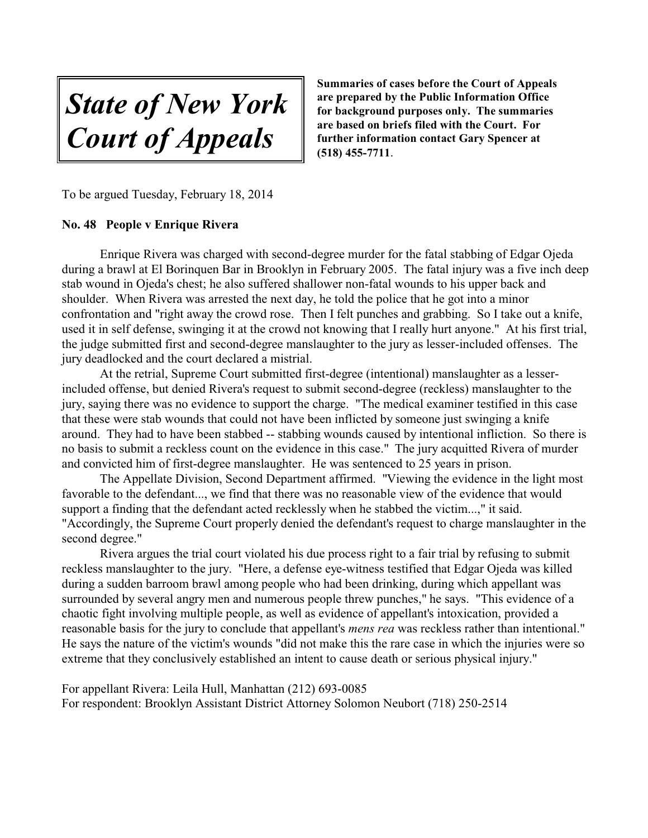*State of New York Court of Appeals*

To be argued Tuesday, February 18, 2014

#### **No. 48 People v Enrique Rivera**

Enrique Rivera was charged with second-degree murder for the fatal stabbing of Edgar Ojeda during a brawl at El Borinquen Bar in Brooklyn in February 2005. The fatal injury was a five inch deep stab wound in Ojeda's chest; he also suffered shallower non-fatal wounds to his upper back and shoulder. When Rivera was arrested the next day, he told the police that he got into a minor confrontation and "right away the crowd rose. Then I felt punches and grabbing. So I take out a knife, used it in self defense, swinging it at the crowd not knowing that I really hurt anyone." At his first trial, the judge submitted first and second-degree manslaughter to the jury as lesser-included offenses. The jury deadlocked and the court declared a mistrial.

At the retrial, Supreme Court submitted first-degree (intentional) manslaughter as a lesserincluded offense, but denied Rivera's request to submit second-degree (reckless) manslaughter to the jury, saying there was no evidence to support the charge. "The medical examiner testified in this case that these were stab wounds that could not have been inflicted by someone just swinging a knife around. They had to have been stabbed -- stabbing wounds caused by intentional infliction. So there is no basis to submit a reckless count on the evidence in this case." The jury acquitted Rivera of murder and convicted him of first-degree manslaughter. He was sentenced to 25 years in prison.

The Appellate Division, Second Department affirmed. "Viewing the evidence in the light most favorable to the defendant..., we find that there was no reasonable view of the evidence that would support a finding that the defendant acted recklessly when he stabbed the victim...," it said. "Accordingly, the Supreme Court properly denied the defendant's request to charge manslaughter in the second degree."

Rivera argues the trial court violated his due process right to a fair trial by refusing to submit reckless manslaughter to the jury. "Here, a defense eye-witness testified that Edgar Ojeda was killed during a sudden barroom brawl among people who had been drinking, during which appellant was surrounded by several angry men and numerous people threw punches," he says. "This evidence of a chaotic fight involving multiple people, as well as evidence of appellant's intoxication, provided a reasonable basis for the jury to conclude that appellant's *mens rea* was reckless rather than intentional." He says the nature of the victim's wounds "did not make this the rare case in which the injuries were so extreme that they conclusively established an intent to cause death or serious physical injury."

For appellant Rivera: Leila Hull, Manhattan (212) 693-0085 For respondent: Brooklyn Assistant District Attorney Solomon Neubort (718) 250-2514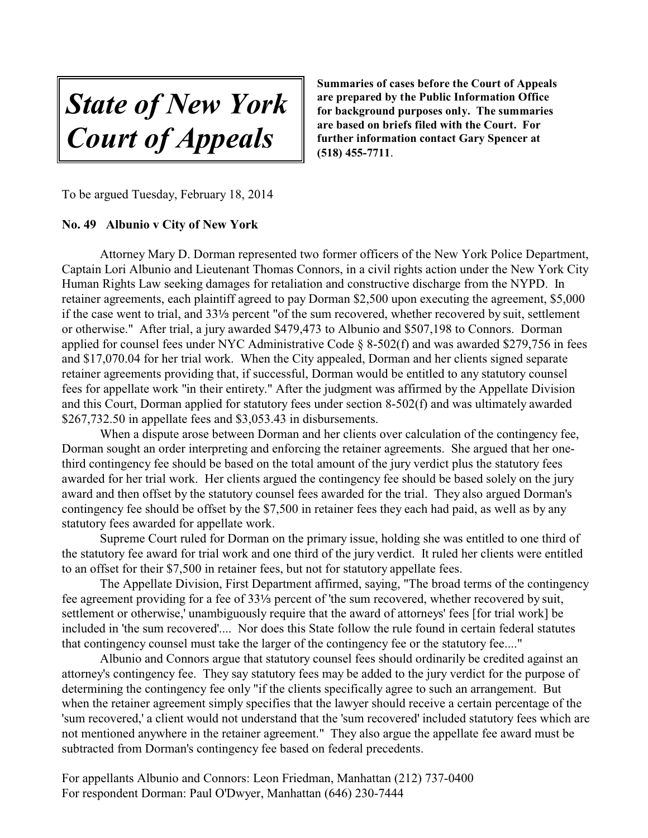*State of New York Court of Appeals*

To be argued Tuesday, February 18, 2014

#### **No. 49 Albunio v City of New York**

Attorney Mary D. Dorman represented two former officers of the New York Police Department, Captain Lori Albunio and Lieutenant Thomas Connors, in a civil rights action under the New York City Human Rights Law seeking damages for retaliation and constructive discharge from the NYPD. In retainer agreements, each plaintiff agreed to pay Dorman \$2,500 upon executing the agreement, \$5,000 if the case went to trial, and 331/<sub>3</sub> percent "of the sum recovered, whether recovered by suit, settlement or otherwise." After trial, a jury awarded \$479,473 to Albunio and \$507,198 to Connors. Dorman applied for counsel fees under NYC Administrative Code § 8-502(f) and was awarded \$279,756 in fees and \$17,070.04 for her trial work. When the City appealed, Dorman and her clients signed separate retainer agreements providing that, if successful, Dorman would be entitled to any statutory counsel fees for appellate work "in their entirety." After the judgment was affirmed by the Appellate Division and this Court, Dorman applied for statutory fees under section 8-502(f) and was ultimately awarded \$267,732.50 in appellate fees and \$3,053.43 in disbursements.

When a dispute arose between Dorman and her clients over calculation of the contingency fee, Dorman sought an order interpreting and enforcing the retainer agreements. She argued that her onethird contingency fee should be based on the total amount of the jury verdict plus the statutory fees awarded for her trial work. Her clients argued the contingency fee should be based solely on the jury award and then offset by the statutory counsel fees awarded for the trial. They also argued Dorman's contingency fee should be offset by the \$7,500 in retainer fees they each had paid, as well as by any statutory fees awarded for appellate work.

Supreme Court ruled for Dorman on the primary issue, holding she was entitled to one third of the statutory fee award for trial work and one third of the jury verdict. It ruled her clients were entitled to an offset for their \$7,500 in retainer fees, but not for statutory appellate fees.

The Appellate Division, First Department affirmed, saying, "The broad terms of the contingency fee agreement providing for a fee of 331/<sub>3</sub> percent of 'the sum recovered, whether recovered by suit, settlement or otherwise,' unambiguously require that the award of attorneys' fees [for trial work] be included in 'the sum recovered'.... Nor does this State follow the rule found in certain federal statutes that contingency counsel must take the larger of the contingency fee or the statutory fee...."

Albunio and Connors argue that statutory counsel fees should ordinarily be credited against an attorney's contingency fee. They say statutory fees may be added to the jury verdict for the purpose of determining the contingency fee only "if the clients specifically agree to such an arrangement. But when the retainer agreement simply specifies that the lawyer should receive a certain percentage of the 'sum recovered,' a client would not understand that the 'sum recovered' included statutory fees which are not mentioned anywhere in the retainer agreement." They also argue the appellate fee award must be subtracted from Dorman's contingency fee based on federal precedents.

For appellants Albunio and Connors: Leon Friedman, Manhattan (212) 737-0400 For respondent Dorman: Paul O'Dwyer, Manhattan (646) 230-7444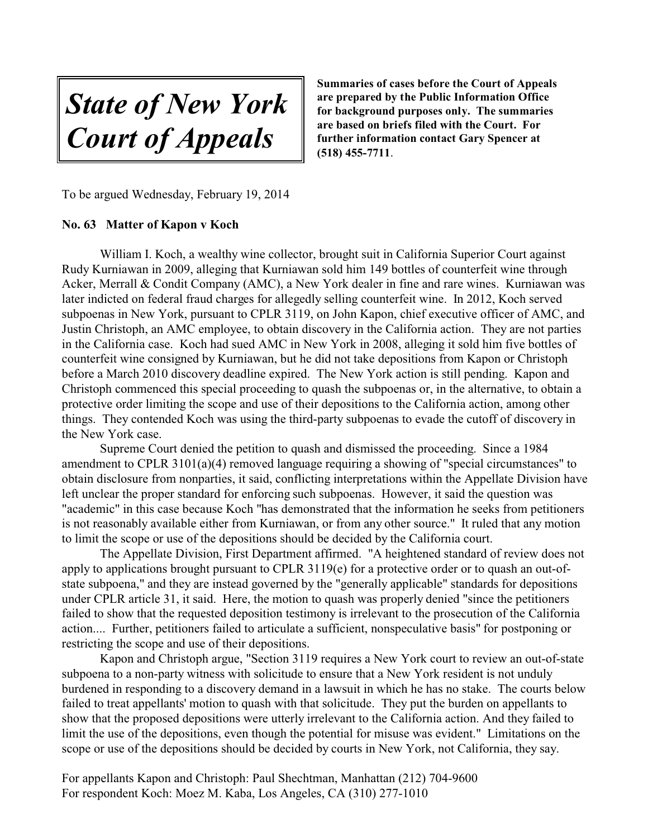*State of New York Court of Appeals*

To be argued Wednesday, February 19, 2014

#### **No. 63 Matter of Kapon v Koch**

William I. Koch, a wealthy wine collector, brought suit in California Superior Court against Rudy Kurniawan in 2009, alleging that Kurniawan sold him 149 bottles of counterfeit wine through Acker, Merrall & Condit Company (AMC), a New York dealer in fine and rare wines. Kurniawan was later indicted on federal fraud charges for allegedly selling counterfeit wine. In 2012, Koch served subpoenas in New York, pursuant to CPLR 3119, on John Kapon, chief executive officer of AMC, and Justin Christoph, an AMC employee, to obtain discovery in the California action. They are not parties in the California case. Koch had sued AMC in New York in 2008, alleging it sold him five bottles of counterfeit wine consigned by Kurniawan, but he did not take depositions from Kapon or Christoph before a March 2010 discovery deadline expired. The New York action is still pending. Kapon and Christoph commenced this special proceeding to quash the subpoenas or, in the alternative, to obtain a protective order limiting the scope and use of their depositions to the California action, among other things. They contended Koch was using the third-party subpoenas to evade the cutoff of discovery in the New York case.

Supreme Court denied the petition to quash and dismissed the proceeding. Since a 1984 amendment to CPLR 3101(a)(4) removed language requiring a showing of "special circumstances" to obtain disclosure from nonparties, it said, conflicting interpretations within the Appellate Division have left unclear the proper standard for enforcing such subpoenas. However, it said the question was "academic" in this case because Koch "has demonstrated that the information he seeks from petitioners is not reasonably available either from Kurniawan, or from any other source." It ruled that any motion to limit the scope or use of the depositions should be decided by the California court.

The Appellate Division, First Department affirmed. "A heightened standard of review does not apply to applications brought pursuant to CPLR  $3119(e)$  for a protective order or to quash an out-ofstate subpoena," and they are instead governed by the "generally applicable" standards for depositions under CPLR article 31, it said. Here, the motion to quash was properly denied "since the petitioners failed to show that the requested deposition testimony is irrelevant to the prosecution of the California action.... Further, petitioners failed to articulate a sufficient, nonspeculative basis" for postponing or restricting the scope and use of their depositions.

Kapon and Christoph argue, "Section 3119 requires a New York court to review an out-of-state subpoena to a non-party witness with solicitude to ensure that a New York resident is not unduly burdened in responding to a discovery demand in a lawsuit in which he has no stake. The courts below failed to treat appellants' motion to quash with that solicitude. They put the burden on appellants to show that the proposed depositions were utterly irrelevant to the California action. And they failed to limit the use of the depositions, even though the potential for misuse was evident." Limitations on the scope or use of the depositions should be decided by courts in New York, not California, they say.

For appellants Kapon and Christoph: Paul Shechtman, Manhattan (212) 704-9600 For respondent Koch: Moez M. Kaba, Los Angeles, CA (310) 277-1010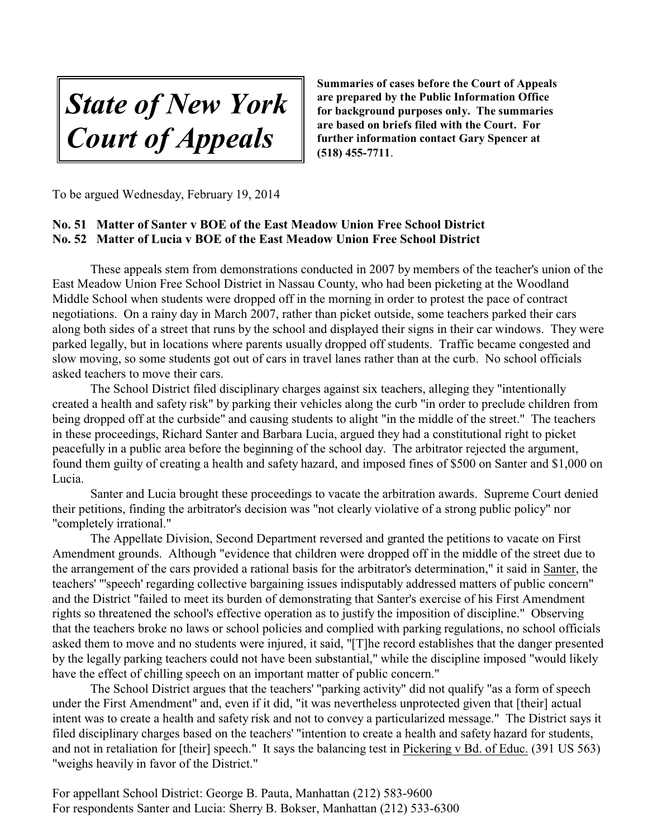*State of New York Court of Appeals*

To be argued Wednesday, February 19, 2014

# **No. 51 Matter of Santer v BOE of the East Meadow Union Free School District No. 52 Matter of Lucia v BOE of the East Meadow Union Free School District**

These appeals stem from demonstrations conducted in 2007 by members of the teacher's union of the East Meadow Union Free School District in Nassau County, who had been picketing at the Woodland Middle School when students were dropped off in the morning in order to protest the pace of contract negotiations. On a rainy day in March 2007, rather than picket outside, some teachers parked their cars along both sides of a street that runs by the school and displayed their signs in their car windows. They were parked legally, but in locations where parents usually dropped off students. Traffic became congested and slow moving, so some students got out of cars in travel lanes rather than at the curb. No school officials asked teachers to move their cars.

The School District filed disciplinary charges against six teachers, alleging they "intentionally created a health and safety risk" by parking their vehicles along the curb "in order to preclude children from being dropped off at the curbside" and causing students to alight "in the middle of the street." The teachers in these proceedings, Richard Santer and Barbara Lucia, argued they had a constitutional right to picket peacefully in a public area before the beginning of the school day. The arbitrator rejected the argument, found them guilty of creating a health and safety hazard, and imposed fines of \$500 on Santer and \$1,000 on Lucia.

Santer and Lucia brought these proceedings to vacate the arbitration awards. Supreme Court denied their petitions, finding the arbitrator's decision was "not clearly violative of a strong public policy" nor "completely irrational."

The Appellate Division, Second Department reversed and granted the petitions to vacate on First Amendment grounds. Although "evidence that children were dropped off in the middle of the street due to the arrangement of the cars provided a rational basis for the arbitrator's determination," it said in Santer, the teachers' "'speech' regarding collective bargaining issues indisputably addressed matters of public concern" and the District "failed to meet its burden of demonstrating that Santer's exercise of his First Amendment rights so threatened the school's effective operation as to justify the imposition of discipline." Observing that the teachers broke no laws or school policies and complied with parking regulations, no school officials asked them to move and no students were injured, it said, "[T]he record establishes that the danger presented by the legally parking teachers could not have been substantial," while the discipline imposed "would likely have the effect of chilling speech on an important matter of public concern."

The School District argues that the teachers' "parking activity" did not qualify "as a form of speech under the First Amendment" and, even if it did, "it was nevertheless unprotected given that [their] actual intent was to create a health and safety risk and not to convey a particularized message." The District says it filed disciplinary charges based on the teachers' "intention to create a health and safety hazard for students, and not in retaliation for [their] speech." It says the balancing test in Pickering v Bd. of Educ. (391 US 563) "weighs heavily in favor of the District."

For appellant School District: George B. Pauta, Manhattan (212) 583-9600 For respondents Santer and Lucia: Sherry B. Bokser, Manhattan (212) 533-6300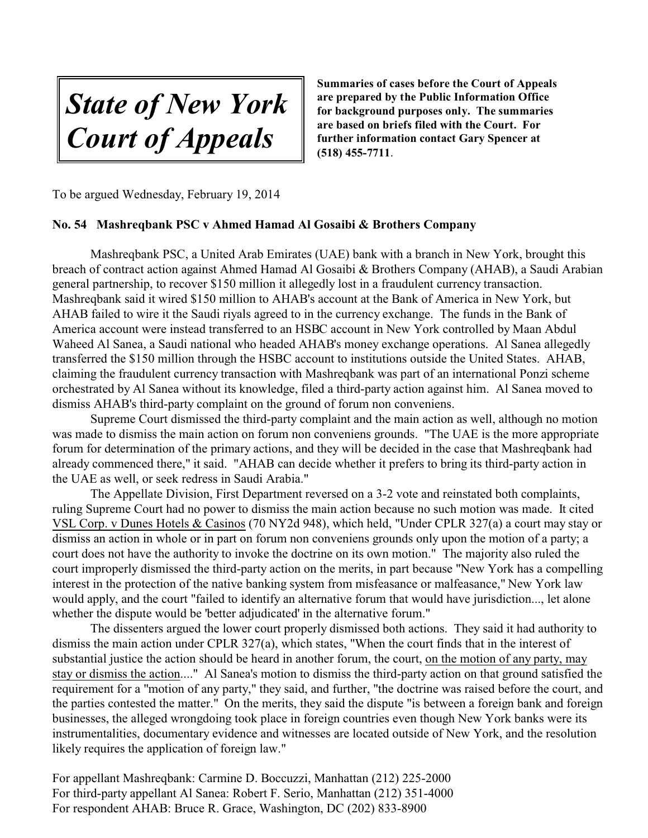*State of New York Court of Appeals*

To be argued Wednesday, February 19, 2014

#### **No. 54 Mashreqbank PSC v Ahmed Hamad Al Gosaibi & Brothers Company**

Mashreqbank PSC, a United Arab Emirates (UAE) bank with a branch in New York, brought this breach of contract action against Ahmed Hamad Al Gosaibi & Brothers Company (AHAB), a Saudi Arabian general partnership, to recover \$150 million it allegedly lost in a fraudulent currency transaction. Mashreqbank said it wired \$150 million to AHAB's account at the Bank of America in New York, but AHAB failed to wire it the Saudi riyals agreed to in the currency exchange. The funds in the Bank of America account were instead transferred to an HSBC account in New York controlled by Maan Abdul Waheed Al Sanea, a Saudi national who headed AHAB's money exchange operations. Al Sanea allegedly transferred the \$150 million through the HSBC account to institutions outside the United States. AHAB, claiming the fraudulent currency transaction with Mashreqbank was part of an international Ponzi scheme orchestrated by Al Sanea without its knowledge, filed a third-party action against him. Al Sanea moved to dismiss AHAB's third-party complaint on the ground of forum non conveniens.

Supreme Court dismissed the third-party complaint and the main action as well, although no motion was made to dismiss the main action on forum non conveniens grounds. "The UAE is the more appropriate forum for determination of the primary actions, and they will be decided in the case that Mashreqbank had already commenced there," it said. "AHAB can decide whether it prefers to bring its third-party action in the UAE as well, or seek redress in Saudi Arabia."

The Appellate Division, First Department reversed on a 3-2 vote and reinstated both complaints, ruling Supreme Court had no power to dismiss the main action because no such motion was made. It cited VSL Corp. v Dunes Hotels & Casinos (70 NY2d 948), which held, "Under CPLR 327(a) a court may stay or dismiss an action in whole or in part on forum non conveniens grounds only upon the motion of a party; a court does not have the authority to invoke the doctrine on its own motion." The majority also ruled the court improperly dismissed the third-party action on the merits, in part because "New York has a compelling interest in the protection of the native banking system from misfeasance or malfeasance," New York law would apply, and the court "failed to identify an alternative forum that would have jurisdiction..., let alone whether the dispute would be 'better adjudicated' in the alternative forum."

The dissenters argued the lower court properly dismissed both actions. They said it had authority to dismiss the main action under CPLR 327(a), which states, "When the court finds that in the interest of substantial justice the action should be heard in another forum, the court, on the motion of any party, may stay or dismiss the action...." Al Sanea's motion to dismiss the third-party action on that ground satisfied the requirement for a "motion of any party," they said, and further, "the doctrine was raised before the court, and the parties contested the matter." On the merits, they said the dispute "is between a foreign bank and foreign businesses, the alleged wrongdoing took place in foreign countries even though New York banks were its instrumentalities, documentary evidence and witnesses are located outside of New York, and the resolution likely requires the application of foreign law."

For appellant Mashreqbank: Carmine D. Boccuzzi, Manhattan (212) 225-2000 For third-party appellant Al Sanea: Robert F. Serio, Manhattan (212) 351-4000 For respondent AHAB: Bruce R. Grace, Washington, DC (202) 833-8900